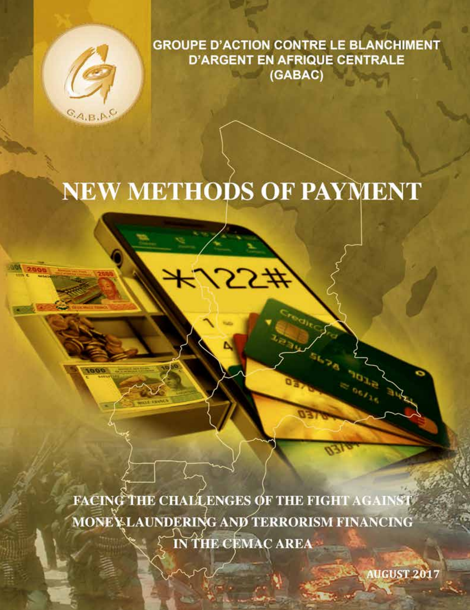

0001

**GROUPE D'ACTION CONTRE LE BLANCHIMENT D'ARGENT EN AFRIQUE CENTRALE** (GABAC)

# **NEW METHODS OF PAYMENT**

55#

**FACING THE CHALLENGES OF THE FIGHT AGAINST** MONE LAUNDERING AND TERRORISM FINANCING IN THE CEMAC AREA

**AUGUST 2017**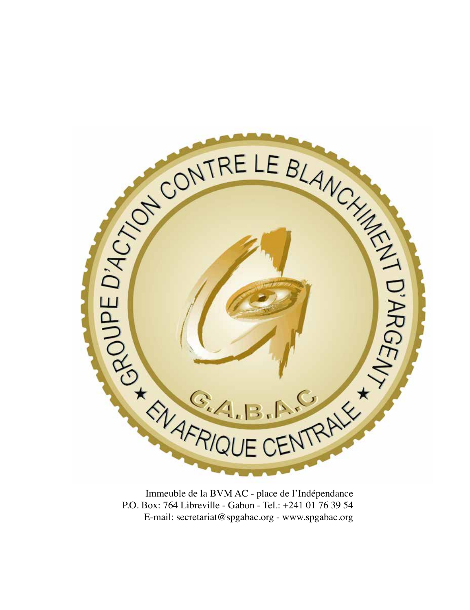

Immeuble de la BVM AC - place de l'Indépendance P.O. Box: 764 Libreville - Gabon - Tel.: +241 01 76 39 54 E-mail: secretariat@spgabac.org - www.spgabac.org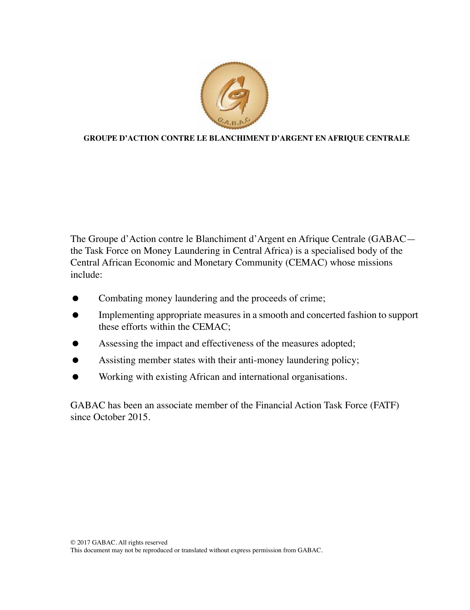

#### **GROUPE D'ACTION CONTRE LE BLANCHIMENT D'ARGENT EN AFRIQUE CENTRALE**

The Groupe d'Action contre le Blanchiment d'Argent en Afrique Centrale (GABAC the Task Force on Money Laundering in Central Africa) is a specialised body of the Central African Economic and Monetary Community (CEMAC) whose missions include:

- Combating money laundering and the proceeds of crime;
- **Implementing appropriate measures in a smooth and concerted fashion to support** these efforts within the CEMAC;
- Assessing the impact and effectiveness of the measures adopted;
- Assisting member states with their anti-money laundering policy;
- Working with existing African and international organisations.

GABAC has been an associate member of the Financial Action Task Force (FATF) since October 2015.

This document may not be reproduced or translated without express permission from GABAC.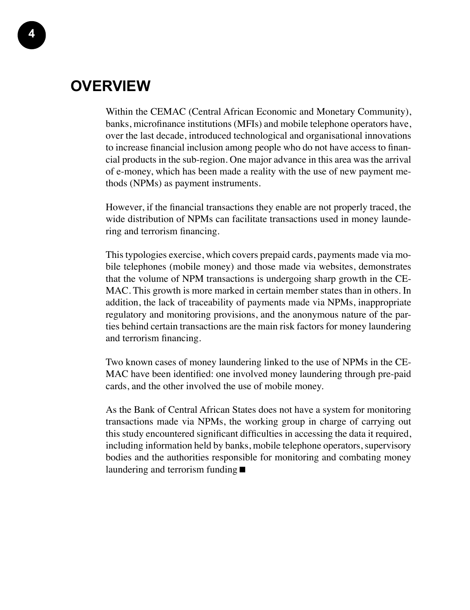### **Overview**

Within the CEMAC (Central African Economic and Monetary Community), banks, microfinance institutions (MFIs) and mobile telephone operators have, over the last decade, introduced technological and organisational innovations to increase financial inclusion among people who do not have access to financial products in the sub-region. One major advance in this area was the arrival of e-money, which has been made a reality with the use of new payment methods (NPMs) as payment instruments.

However, if the financial transactions they enable are not properly traced, the wide distribution of NPMs can facilitate transactions used in money laundering and terrorism financing.

This typologies exercise, which covers prepaid cards, payments made via mobile telephones (mobile money) and those made via websites, demonstrates that the volume of NPM transactions is undergoing sharp growth in the CE-MAC. This growth is more marked in certain member states than in others. In addition, the lack of traceability of payments made via NPMs, inappropriate regulatory and monitoring provisions, and the anonymous nature of the parties behind certain transactions are the main risk factors for money laundering and terrorism financing.

Two known cases of money laundering linked to the use of NPMs in the CE-MAC have been identified: one involved money laundering through pre-paid cards, and the other involved the use of mobile money.

As the Bank of Central African States does not have a system for monitoring transactions made via NPMs, the working group in charge of carrying out this study encountered significant difficulties in accessing the data it required, including information held by banks, mobile telephone operators, supervisory bodies and the authorities responsible for monitoring and combating money laundering and terrorism funding ■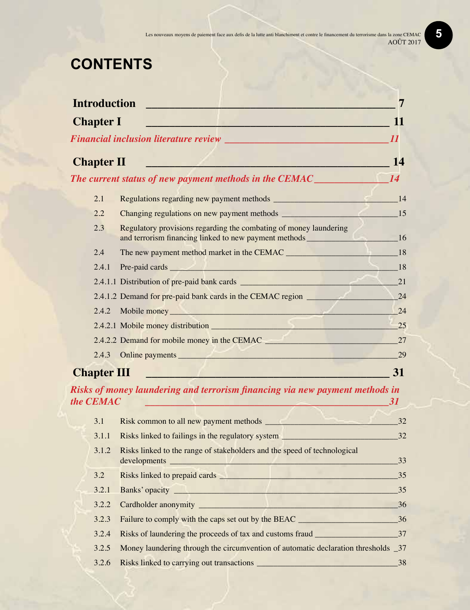## **CONTENTS**

| <b>Introduction</b> |                                                                                                                                                                                                                                      | 7         |
|---------------------|--------------------------------------------------------------------------------------------------------------------------------------------------------------------------------------------------------------------------------------|-----------|
| <b>Chapter I</b>    |                                                                                                                                                                                                                                      | 11        |
|                     | <b>Financial inclusion literature review</b> Manual Communication of the <i>II</i>                                                                                                                                                   |           |
|                     |                                                                                                                                                                                                                                      |           |
| <b>Chapter II</b>   | <u>e de la componentación de la componentación de la componentación de la componentación de la componentación de la componentación de la componentación de la componentación de la componentación de la componentación de la com</u> | 14        |
|                     |                                                                                                                                                                                                                                      |           |
| 2.1                 |                                                                                                                                                                                                                                      |           |
| 2.2                 |                                                                                                                                                                                                                                      |           |
| 2.3                 | Regulatory provisions regarding the combating of money laundering                                                                                                                                                                    |           |
| 2.4                 | The new payment method market in the CEMAC 18                                                                                                                                                                                        |           |
| 2.4.1               | Pre-paid cards 18                                                                                                                                                                                                                    |           |
|                     |                                                                                                                                                                                                                                      |           |
|                     |                                                                                                                                                                                                                                      |           |
| 2.4.2               | Mobile money https://www.archive.com/2010/01/2010 12:00:00 12:00:00 12:00:00 12:00:00 12:00:00 12:00:00 12:00:00 12:00:00 12:00:00 12:00:00 12:00:00 12:00:00 12:00:00 12:00:00 12:00:00 12:00:00 12:00:00 12:00:00 12:00:00 1       | 24        |
|                     |                                                                                                                                                                                                                                      |           |
|                     | 2.4.2.2 Demand for mobile money in the CEMAC                                                                                                                                                                                         | 27        |
|                     | 2.4.3 Online payments <b>example 2.4.3</b> Online payments                                                                                                                                                                           | 29        |
| <b>Chapter III</b>  | and the property of the control of the control of the control of the control of the control of the control of                                                                                                                        | 31        |
| the <b>CEMAC</b>    | Risks of money laundering and terrorism financing via new payment methods in<br><u> 1990 - Andrej Harrison, politik eta programa eta programa eta programa eta programa eta programa eta programa</u>                                | <b>31</b> |
| 3.1                 |                                                                                                                                                                                                                                      |           |
| 3.1.1               |                                                                                                                                                                                                                                      |           |
| 3.1.2               | Risks linked to the range of stakeholders and the speed of technological                                                                                                                                                             | 33        |
| 3.2                 |                                                                                                                                                                                                                                      |           |
| 3.2.1               | Banks' opacity has been also been also been also been also been also been also been also been also been also been also been also been also been also been also been also been also been also been also been also been also bee<br>35 |           |
| 3.2.2               | Cardholder anonymity 25                                                                                                                                                                                                              |           |
| 3.2.3               |                                                                                                                                                                                                                                      |           |
| 3.2.4               |                                                                                                                                                                                                                                      |           |
| 3.2.5               | Money laundering through the circumvention of automatic declaration thresholds _37                                                                                                                                                   |           |
| 3.2.6               |                                                                                                                                                                                                                                      | 38        |

#### **5**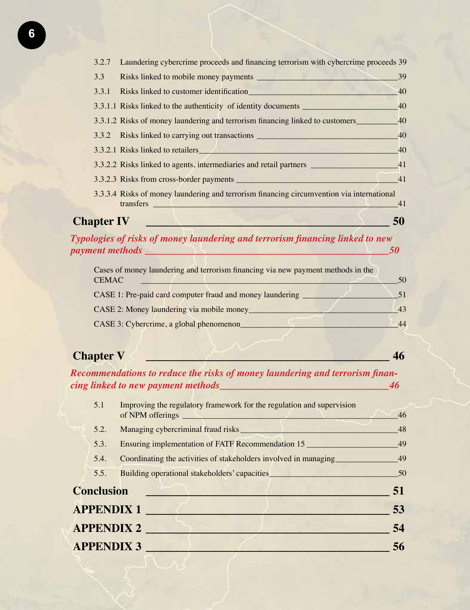| 3.2.7             | Laundering cybercrime proceeds and financing terrorism with cybercrime proceeds 39        |    |
|-------------------|-------------------------------------------------------------------------------------------|----|
| 3.3               | Risks linked to mobile money payments                                                     | 39 |
| 3.3.1             |                                                                                           | 40 |
|                   | 3.3.1.1 Risks linked to the authenticity of identity documents _________________          | 40 |
|                   | 3.3.1.2 Risks of money laundering and terrorism financing linked to customers             | 40 |
|                   | 3.3.2 Risks linked to carrying out transactions ________________________________          | 40 |
|                   | 3.3.2.1 Risks linked to retailers <b>Exercísies Seconds Exercísies Seconds Exercísies</b> | 40 |
|                   | 3.3.2.2 Risks linked to agents, intermediaries and retail partners                        | 41 |
|                   |                                                                                           | 41 |
|                   | 3.3.3.4 Risks of money laundering and terrorism financing circumvention via international |    |
|                   | transfers<br><u> 1944 - Andrea Barbara, martin a filial a</u>                             | 41 |
| <b>Chapter IV</b> |                                                                                           |    |

*Typologies of risks of money laundering and terrorism financing linked to new payment methods \_\_\_\_\_\_\_\_\_\_\_\_\_\_\_\_\_\_\_\_\_\_\_\_\_\_\_\_\_\_\_\_\_\_\_\_\_\_\_\_\_\_\_\_\_\_\_\_\_50*

| Cases of money laundering and terrorism financing via new payment methods in the |    |
|----------------------------------------------------------------------------------|----|
| <b>CEMAC</b>                                                                     | 50 |
| CASE 1: Pre-paid card computer fraud and money laundering _                      |    |
| CASE 2: Money laundering via mobile money                                        | 43 |
| CASE 3: Cybercrime, a global phenomenon_                                         | 44 |

### **Chapter V \_\_\_\_\_\_\_\_\_\_\_\_\_\_\_\_\_\_\_\_\_\_\_\_\_\_\_\_\_\_\_\_\_\_\_\_\_\_\_\_\_\_ 46**

*Recommendations to reduce the risks of money laundering and terrorism financing linked to new payment methods\_\_\_\_\_\_\_\_\_\_\_\_\_\_\_\_\_\_\_\_\_\_\_\_\_\_\_\_\_\_\_\_\_\_46*

| 5.1               | Improving the regulatory framework for the regulation and supervision<br>of NPM offerings | 46 |
|-------------------|-------------------------------------------------------------------------------------------|----|
| 5.2.              | Managing cybercriminal fraud risks                                                        | 48 |
| 5.3.              | Ensuring implementation of FATF Recommendation 15                                         | 49 |
| 5.4.              | Coordinating the activities of stakeholders involved in managing                          | 49 |
| 5.5.              | Building operational stakeholders' capacities                                             | 50 |
| <b>Conclusion</b> |                                                                                           | 51 |
|                   | <b>APPENDIX 1</b>                                                                         | 53 |
|                   | <b>APPENDIX 2</b>                                                                         | 54 |
|                   | <b>APPENDIX 3</b>                                                                         | 56 |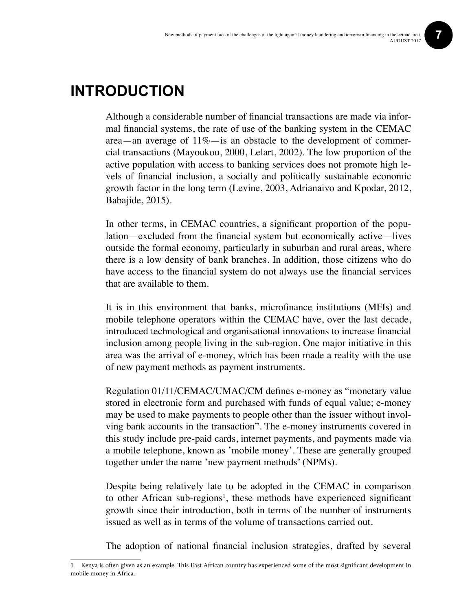### **Introduction**

Although a considerable number of financial transactions are made via informal financial systems, the rate of use of the banking system in the CEMAC area—an average of 11%—is an obstacle to the development of commercial transactions (Mayoukou, 2000, Lelart, 2002). The low proportion of the active population with access to banking services does not promote high levels of financial inclusion, a socially and politically sustainable economic growth factor in the long term (Levine, 2003, Adrianaivo and Kpodar, 2012, Babajide, 2015).

In other terms, in CEMAC countries, a significant proportion of the population—excluded from the financial system but economically active—lives outside the formal economy, particularly in suburban and rural areas, where there is a low density of bank branches. In addition, those citizens who do have access to the financial system do not always use the financial services that are available to them.

It is in this environment that banks, microfinance institutions (MFIs) and mobile telephone operators within the CEMAC have, over the last decade, introduced technological and organisational innovations to increase financial inclusion among people living in the sub-region. One major initiative in this area was the arrival of e-money, which has been made a reality with the use of new payment methods as payment instruments.

Regulation 01/11/CEMAC/UMAC/CM defines e-money as "monetary value stored in electronic form and purchased with funds of equal value; e-money may be used to make payments to people other than the issuer without involving bank accounts in the transaction". The e-money instruments covered in this study include pre-paid cards, internet payments, and payments made via a mobile telephone, known as 'mobile money'. These are generally grouped together under the name 'new payment methods' (NPMs).

Despite being relatively late to be adopted in the CEMAC in comparison to other African sub-regions<sup>1</sup>, these methods have experienced significant growth since their introduction, both in terms of the number of instruments issued as well as in terms of the volume of transactions carried out.

The adoption of national financial inclusion strategies, drafted by several

<sup>1</sup> Kenya is often given as an example. This East African country has experienced some of the most significant development in mobile money in Africa.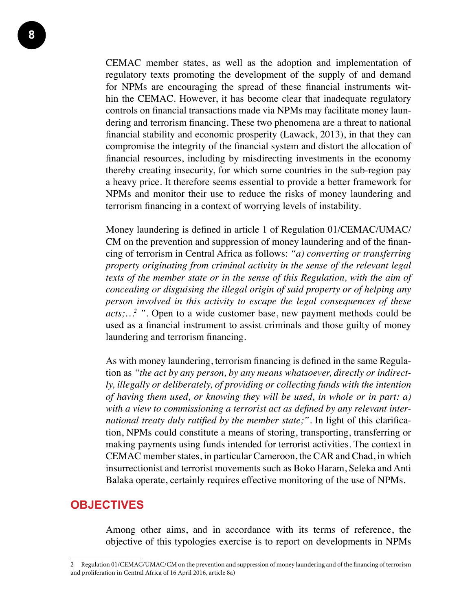CEMAC member states, as well as the adoption and implementation of regulatory texts promoting the development of the supply of and demand for NPMs are encouraging the spread of these financial instruments within the CEMAC. However, it has become clear that inadequate regulatory controls on financial transactions made via NPMs may facilitate money laundering and terrorism financing. These two phenomena are a threat to national financial stability and economic prosperity (Lawack, 2013), in that they can compromise the integrity of the financial system and distort the allocation of financial resources, including by misdirecting investments in the economy thereby creating insecurity, for which some countries in the sub-region pay a heavy price. It therefore seems essential to provide a better framework for NPMs and monitor their use to reduce the risks of money laundering and terrorism financing in a context of worrying levels of instability.

Money laundering is defined in article 1 of Regulation 01/CEMAC/UMAC/ CM on the prevention and suppression of money laundering and of the financing of terrorism in Central Africa as follows: *"a) converting or transferring property originating from criminal activity in the sense of the relevant legal texts of the member state or in the sense of this Regulation, with the aim of concealing or disguising the illegal origin of said property or of helping any person involved in this activity to escape the legal consequences of these acts;…2 ".* Open to a wide customer base, new payment methods could be used as a financial instrument to assist criminals and those guilty of money laundering and terrorism financing.

As with money laundering, terrorism financing is defined in the same Regulation as *"the act by any person, by any means whatsoever, directly or indirectly, illegally or deliberately, of providing or collecting funds with the intention of having them used, or knowing they will be used, in whole or in part: a) with a view to commissioning a terrorist act as defined by any relevant international treaty duly ratified by the member state;"*. In light of this clarification, NPMs could constitute a means of storing, transporting, transferring or making payments using funds intended for terrorist activities. The context in CEMAC member states, in particular Cameroon, the CAR and Chad, in which insurrectionist and terrorist movements such as Boko Haram, Seleka and Anti Balaka operate, certainly requires effective monitoring of the use of NPMs.

#### **OBJECTIVES**

Among other aims, and in accordance with its terms of reference, the objective of this typologies exercise is to report on developments in NPMs

<sup>2</sup> Regulation 01/CEMAC/UMAC/CM on the prevention and suppression of money laundering and of the financing of terrorism and proliferation in Central Africa of 16 April 2016, article 8a)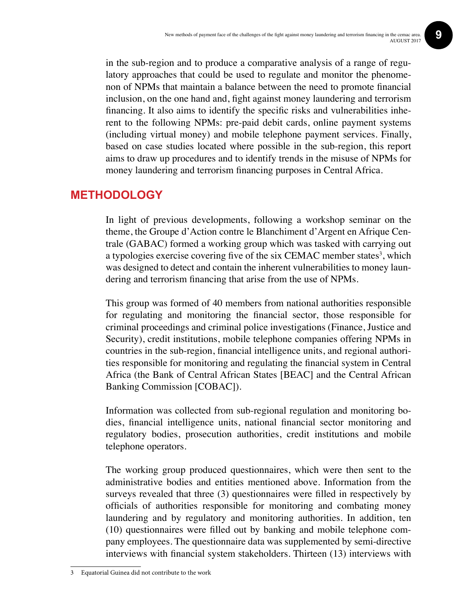in the sub-region and to produce a comparative analysis of a range of regulatory approaches that could be used to regulate and monitor the phenomenon of NPMs that maintain a balance between the need to promote financial inclusion, on the one hand and, fight against money laundering and terrorism financing. It also aims to identify the specific risks and vulnerabilities inherent to the following NPMs: pre-paid debit cards, online payment systems (including virtual money) and mobile telephone payment services. Finally, based on case studies located where possible in the sub-region, this report aims to draw up procedures and to identify trends in the misuse of NPMs for money laundering and terrorism financing purposes in Central Africa.

#### **Methodology**

In light of previous developments, following a workshop seminar on the theme, the Groupe d'Action contre le Blanchiment d'Argent en Afrique Centrale (GABAC) formed a working group which was tasked with carrying out a typologies exercise covering five of the six CEMAC member states<sup>3</sup>, which was designed to detect and contain the inherent vulnerabilities to money laundering and terrorism financing that arise from the use of NPMs.

This group was formed of 40 members from national authorities responsible for regulating and monitoring the financial sector, those responsible for criminal proceedings and criminal police investigations (Finance, Justice and Security), credit institutions, mobile telephone companies offering NPMs in countries in the sub-region, financial intelligence units, and regional authorities responsible for monitoring and regulating the financial system in Central Africa (the Bank of Central African States [BEAC] and the Central African Banking Commission [COBAC]).

Information was collected from sub-regional regulation and monitoring bodies, financial intelligence units, national financial sector monitoring and regulatory bodies, prosecution authorities, credit institutions and mobile telephone operators.

The working group produced questionnaires, which were then sent to the administrative bodies and entities mentioned above. Information from the surveys revealed that three (3) questionnaires were filled in respectively by officials of authorities responsible for monitoring and combating money laundering and by regulatory and monitoring authorities. In addition, ten (10) questionnaires were filled out by banking and mobile telephone company employees. The questionnaire data was supplemented by semi-directive interviews with financial system stakeholders. Thirteen (13) interviews with

<sup>3</sup> Equatorial Guinea did not contribute to the work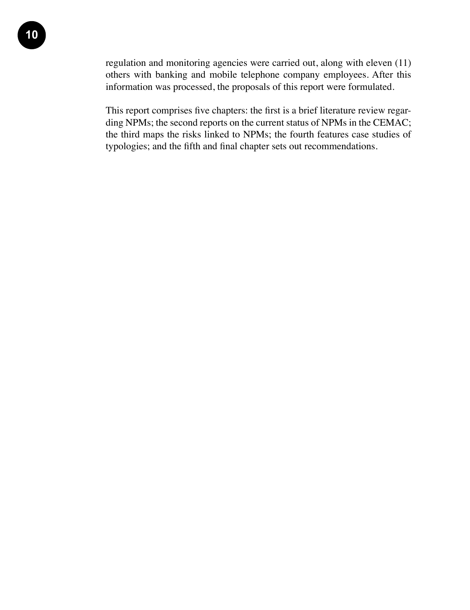regulation and monitoring agencies were carried out, along with eleven (11) others with banking and mobile telephone company employees. After this information was processed, the proposals of this report were formulated.

This report comprises five chapters: the first is a brief literature review regarding NPMs; the second reports on the current status of NPMs in the CEMAC; the third maps the risks linked to NPMs; the fourth features case studies of typologies; and the fifth and final chapter sets out recommendations.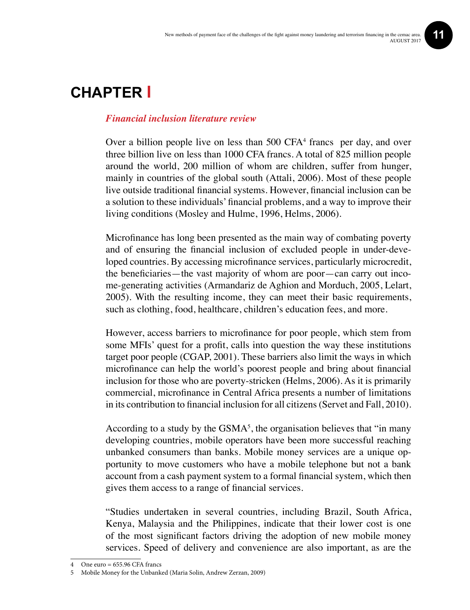### **Chapter I**

#### *Financial inclusion literature review*

Over a billion people live on less than 500 CFA<sup>4</sup> francs per day, and over three billion live on less than 1000 CFA francs. A total of 825 million people around the world, 200 million of whom are children, suffer from hunger, mainly in countries of the global south (Attali, 2006). Most of these people live outside traditional financial systems. However, financial inclusion can be a solution to these individuals' financial problems, and a way to improve their living conditions (Mosley and Hulme, 1996, Helms, 2006).

Microfinance has long been presented as the main way of combating poverty and of ensuring the financial inclusion of excluded people in under-developed countries. By accessing microfinance services, particularly microcredit, the beneficiaries—the vast majority of whom are poor—can carry out income-generating activities (Armandariz de Aghion and Morduch, 2005, Lelart, 2005). With the resulting income, they can meet their basic requirements, such as clothing, food, healthcare, children's education fees, and more.

However, access barriers to microfinance for poor people, which stem from some MFIs' quest for a profit, calls into question the way these institutions target poor people (CGAP, 2001). These barriers also limit the ways in which microfinance can help the world's poorest people and bring about financial inclusion for those who are poverty-stricken (Helms, 2006). As it is primarily commercial, microfinance in Central Africa presents a number of limitations in its contribution to financial inclusion for all citizens (Servet and Fall, 2010).

According to a study by the  $\text{GSMA}^5$ , the organisation believes that "in many developing countries, mobile operators have been more successful reaching unbanked consumers than banks. Mobile money services are a unique opportunity to move customers who have a mobile telephone but not a bank account from a cash payment system to a formal financial system, which then gives them access to a range of financial services.

"Studies undertaken in several countries, including Brazil, South Africa, Kenya, Malaysia and the Philippines, indicate that their lower cost is one of the most significant factors driving the adoption of new mobile money services. Speed of delivery and convenience are also important, as are the

<sup>4</sup> One euro = 655.96 CFA francs

<sup>5</sup> Mobile Money for the Unbanked (Maria Solin, Andrew Zerzan, 2009)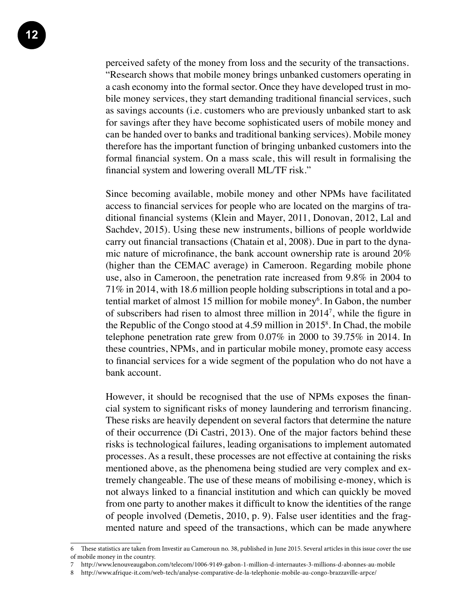**12**

perceived safety of the money from loss and the security of the transactions. "Research shows that mobile money brings unbanked customers operating in a cash economy into the formal sector. Once they have developed trust in mobile money services, they start demanding traditional financial services, such as savings accounts (i.e. customers who are previously unbanked start to ask for savings after they have become sophisticated users of mobile money and can be handed over to banks and traditional banking services). Mobile money therefore has the important function of bringing unbanked customers into the formal financial system. On a mass scale, this will result in formalising the financial system and lowering overall ML/TF risk."

Since becoming available, mobile money and other NPMs have facilitated access to financial services for people who are located on the margins of traditional financial systems (Klein and Mayer, 2011, Donovan, 2012, Lal and Sachdev, 2015). Using these new instruments, billions of people worldwide carry out financial transactions (Chatain et al, 2008). Due in part to the dynamic nature of microfinance, the bank account ownership rate is around 20% (higher than the CEMAC average) in Cameroon. Regarding mobile phone use, also in Cameroon, the penetration rate increased from 9.8% in 2004 to 71% in 2014, with 18.6 million people holding subscriptions in total and a potential market of almost 15 million for mobile money<sup>6</sup>. In Gabon, the number of subscribers had risen to almost three million in 20147 , while the figure in the Republic of the Congo stood at  $4.59$  million in  $2015<sup>8</sup>$ . In Chad, the mobile telephone penetration rate grew from 0.07% in 2000 to 39.75% in 2014. In these countries, NPMs, and in particular mobile money, promote easy access to financial services for a wide segment of the population who do not have a bank account.

However, it should be recognised that the use of NPMs exposes the financial system to significant risks of money laundering and terrorism financing. These risks are heavily dependent on several factors that determine the nature of their occurrence (Di Castri, 2013). One of the major factors behind these risks is technological failures, leading organisations to implement automated processes. As a result, these processes are not effective at containing the risks mentioned above, as the phenomena being studied are very complex and extremely changeable. The use of these means of mobilising e-money, which is not always linked to a financial institution and which can quickly be moved from one party to another makes it difficult to know the identities of the range of people involved (Demetis, 2010, p. 9). False user identities and the fragmented nature and speed of the transactions, which can be made anywhere

<sup>6</sup> These statistics are taken from Investir au Cameroun no. 38, published in June 2015. Several articles in this issue cover the use of mobile money in the country.

<sup>7</sup> http://www.lenouveaugabon.com/telecom/1006-9149-gabon-1-million-d-internautes-3-millions-d-abonnes-au-mobile

<sup>8</sup> http://www.afrique-it.com/web-tech/analyse-comparative-de-la-telephonie-mobile-au-congo-brazzaville-arpce/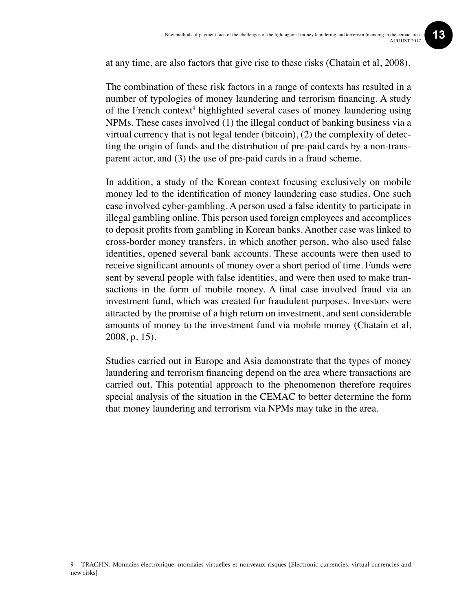at any time, are also factors that give rise to these risks (Chatain et al, 2008).

The combination of these risk factors in a range of contexts has resulted in a number of typologies of money laundering and terrorism financing. A study of the French context<sup>9</sup> highlighted several cases of money laundering using NPMs. These cases involved (1) the illegal conduct of banking business via a virtual currency that is not legal tender (bitcoin), (2) the complexity of detecting the origin of funds and the distribution of pre-paid cards by a non-transparent actor, and (3) the use of pre-paid cards in a fraud scheme.

In addition, a study of the Korean context focusing exclusively on mobile money led to the identification of money laundering case studies. One such case involved cyber-gambling. A person used a false identity to participate in illegal gambling online. This person used foreign employees and accomplices to deposit profits from gambling in Korean banks. Another case was linked to cross-border money transfers, in which another person, who also used false identities, opened several bank accounts. These accounts were then used to receive significant amounts of money over a short period of time. Funds were sent by several people with false identities, and were then used to make transactions in the form of mobile money. A final case involved fraud via an investment fund, which was created for fraudulent purposes. Investors were attracted by the promise of a high return on investment, and sent considerable amounts of money to the investment fund via mobile money (Chatain et al, 2008, p. 15).

Studies carried out in Europe and Asia demonstrate that the types of money laundering and terrorism financing depend on the area where transactions are carried out. This potential approach to the phenomenon therefore requires special analysis of the situation in the CEMAC to better determine the form that money laundering and terrorism via NPMs may take in the area.

<sup>9</sup> TRACFIN, Monnaies électronique, monnaies virtuelles et nouveaux risques [Electronic currencies, virtual currencies and new risks]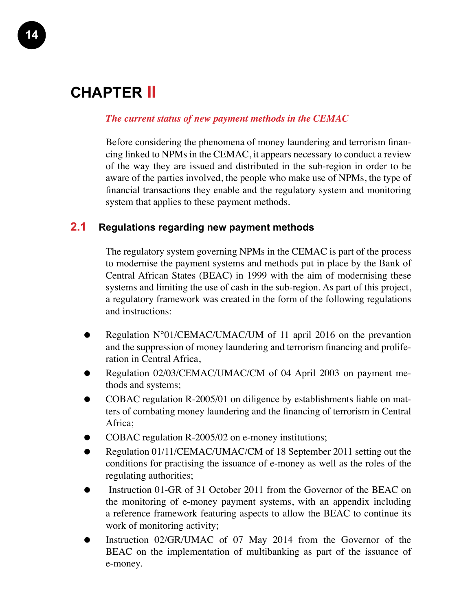### **Chapter II**

#### *The current status of new payment methods in the CEMAC*

Before considering the phenomena of money laundering and terrorism financing linked to NPMs in the CEMAC, it appears necessary to conduct a review of the way they are issued and distributed in the sub-region in order to be aware of the parties involved, the people who make use of NPMs, the type of financial transactions they enable and the regulatory system and monitoring system that applies to these payment methods.

#### **2.1 Regulations regarding new payment methods**

The regulatory system governing NPMs in the CEMAC is part of the process to modernise the payment systems and methods put in place by the Bank of Central African States (BEAC) in 1999 with the aim of modernising these systems and limiting the use of cash in the sub-region. As part of this project, a regulatory framework was created in the form of the following regulations and instructions:

- Regulation N°01/CEMAC/UMAC/UM of 11 april 2016 on the prevantion and the suppression of money laundering and terrorism financing and proliferation in Central Africa,
- Regulation 02/03/CEMAC/UMAC/CM of 04 April 2003 on payment methods and systems;
- COBAC regulation R-2005/01 on diligence by establishments liable on matters of combating money laundering and the financing of terrorism in Central Africa;
- COBAC regulation R-2005/02 on e-money institutions;
- Regulation 01/11/CEMAC/UMAC/CM of 18 September 2011 setting out the conditions for practising the issuance of e-money as well as the roles of the regulating authorities;
- Instruction 01-GR of 31 October 2011 from the Governor of the BEAC on the monitoring of e-money payment systems, with an appendix including a reference framework featuring aspects to allow the BEAC to continue its work of monitoring activity;
- Instruction 02/GR/UMAC of 07 May 2014 from the Governor of the BEAC on the implementation of multibanking as part of the issuance of e-money.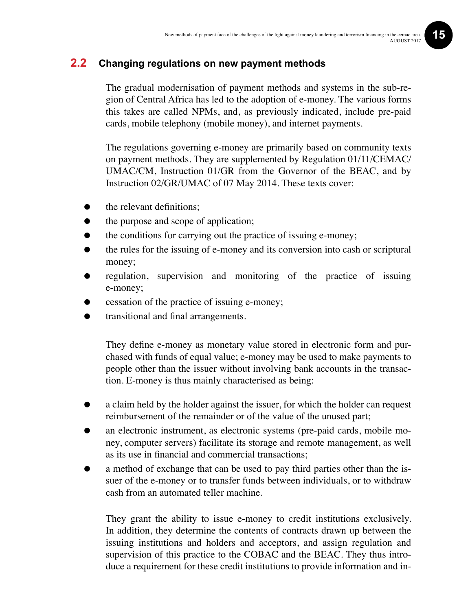#### **2.2 Changing regulations on new payment methods**

The gradual modernisation of payment methods and systems in the sub-region of Central Africa has led to the adoption of e-money. The various forms this takes are called NPMs, and, as previously indicated, include pre-paid cards, mobile telephony (mobile money), and internet payments.

The regulations governing e-money are primarily based on community texts on payment methods. They are supplemented by Regulation 01/11/CEMAC/ UMAC/CM, Instruction 01/GR from the Governor of the BEAC, and by Instruction 02/GR/UMAC of 07 May 2014. These texts cover:

- the relevant definitions;
- the purpose and scope of application;
- the conditions for carrying out the practice of issuing e-money;
- the rules for the issuing of e-money and its conversion into cash or scriptural money;
- regulation, supervision and monitoring of the practice of issuing e-money;
- cessation of the practice of issuing e-money;
- transitional and final arrangements.

They define e-money as monetary value stored in electronic form and purchased with funds of equal value; e-money may be used to make payments to people other than the issuer without involving bank accounts in the transaction. E-money is thus mainly characterised as being:

- a claim held by the holder against the issuer, for which the holder can request reimbursement of the remainder or of the value of the unused part;
- an electronic instrument, as electronic systems (pre-paid cards, mobile money, computer servers) facilitate its storage and remote management, as well as its use in financial and commercial transactions;
- a method of exchange that can be used to pay third parties other than the issuer of the e-money or to transfer funds between individuals, or to withdraw cash from an automated teller machine.

They grant the ability to issue e-money to credit institutions exclusively. In addition, they determine the contents of contracts drawn up between the issuing institutions and holders and acceptors, and assign regulation and supervision of this practice to the COBAC and the BEAC. They thus introduce a requirement for these credit institutions to provide information and in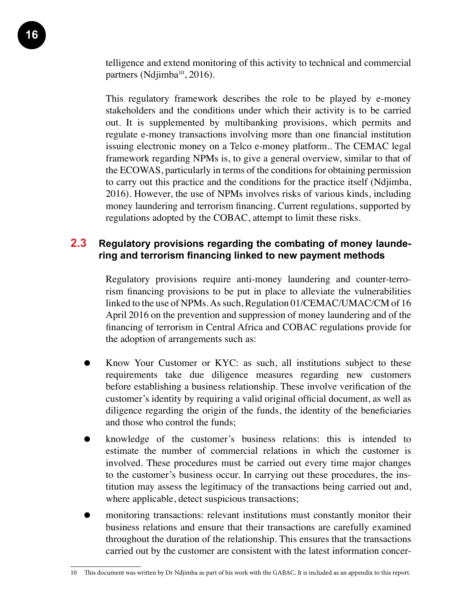telligence and extend monitoring of this activity to technical and commercial partners (Ndjimba<sup>10</sup>, 2016).

This regulatory framework describes the role to be played by e-money stakeholders and the conditions under which their activity is to be carried out. It is supplemented by multibanking provisions, which permits and regulate e-money transactions involving more than one financial institution issuing electronic money on a Telco e-money platform.. The CEMAC legal framework regarding NPMs is, to give a general overview, similar to that of the ECOWAS, particularly in terms of the conditions for obtaining permission to carry out this practice and the conditions for the practice itself (Ndjimba, 2016). However, the use of NPMs involves risks of various kinds, including money laundering and terrorism financing. Current regulations, supported by regulations adopted by the COBAC, attempt to limit these risks.

#### **2.3 Regulatory provisions regarding the combating of money laundering and terrorism financing linked to new payment methods**

Regulatory provisions require anti-money laundering and counter-terrorism financing provisions to be put in place to alleviate the vulnerabilities linked to the use of NPMs. As such, Regulation 01/CEMAC/UMAC/CM of 16 April 2016 on the prevention and suppression of money laundering and of the financing of terrorism in Central Africa and COBAC regulations provide for the adoption of arrangements such as:

- Know Your Customer or KYC: as such, all institutions subject to these requirements take due diligence measures regarding new customers before establishing a business relationship. These involve verification of the customer's identity by requiring a valid original official document, as well as diligence regarding the origin of the funds, the identity of the beneficiaries and those who control the funds;
- knowledge of the customer's business relations: this is intended to estimate the number of commercial relations in which the customer is involved. These procedures must be carried out every time major changes to the customer's business occur. In carrying out these procedures, the institution may assess the legitimacy of the transactions being carried out and, where applicable, detect suspicious transactions;
- monitoring transactions: relevant institutions must constantly monitor their business relations and ensure that their transactions are carefully examined throughout the duration of the relationship. This ensures that the transactions carried out by the customer are consistent with the latest information concer-

<sup>10</sup> This document was written by Dr Ndjimba as part of his work with the GABAC. It is included as an appendix to this report.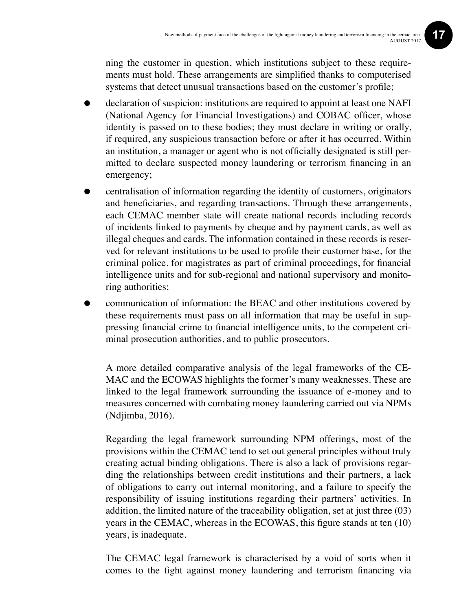ning the customer in question, which institutions subject to these requirements must hold. These arrangements are simplified thanks to computerised systems that detect unusual transactions based on the customer's profile;

- declaration of suspicion: institutions are required to appoint at least one NAFI (National Agency for Financial Investigations) and COBAC officer, whose identity is passed on to these bodies; they must declare in writing or orally, if required, any suspicious transaction before or after it has occurred. Within an institution, a manager or agent who is not officially designated is still permitted to declare suspected money laundering or terrorism financing in an emergency;
- centralisation of information regarding the identity of customers, originators and beneficiaries, and regarding transactions. Through these arrangements, each CEMAC member state will create national records including records of incidents linked to payments by cheque and by payment cards, as well as illegal cheques and cards. The information contained in these records is reserved for relevant institutions to be used to profile their customer base, for the criminal police, for magistrates as part of criminal proceedings, for financial intelligence units and for sub-regional and national supervisory and monitoring authorities;
- communication of information: the BEAC and other institutions covered by these requirements must pass on all information that may be useful in suppressing financial crime to financial intelligence units, to the competent criminal prosecution authorities, and to public prosecutors.

A more detailed comparative analysis of the legal frameworks of the CE-MAC and the ECOWAS highlights the former's many weaknesses. These are linked to the legal framework surrounding the issuance of e-money and to measures concerned with combating money laundering carried out via NPMs (Ndjimba, 2016).

Regarding the legal framework surrounding NPM offerings, most of the provisions within the CEMAC tend to set out general principles without truly creating actual binding obligations. There is also a lack of provisions regarding the relationships between credit institutions and their partners, a lack of obligations to carry out internal monitoring, and a failure to specify the responsibility of issuing institutions regarding their partners' activities. In addition, the limited nature of the traceability obligation, set at just three (03) years in the CEMAC, whereas in the ECOWAS, this figure stands at ten (10) years, is inadequate.

The CEMAC legal framework is characterised by a void of sorts when it comes to the fight against money laundering and terrorism financing via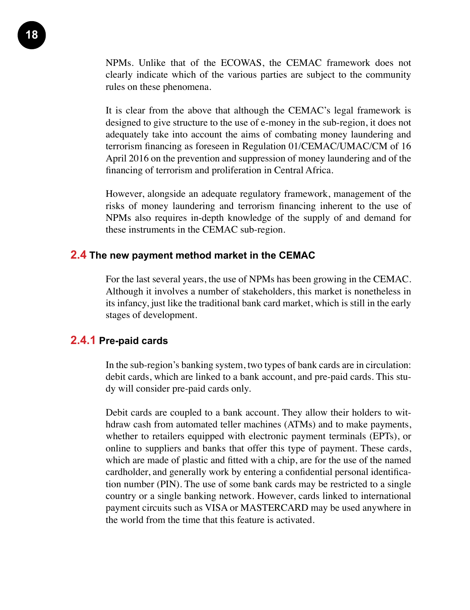NPMs. Unlike that of the ECOWAS, the CEMAC framework does not clearly indicate which of the various parties are subject to the community rules on these phenomena.

It is clear from the above that although the CEMAC's legal framework is designed to give structure to the use of e-money in the sub-region, it does not adequately take into account the aims of combating money laundering and terrorism financing as foreseen in Regulation 01/CEMAC/UMAC/CM of 16 April 2016 on the prevention and suppression of money laundering and of the financing of terrorism and proliferation in Central Africa.

However, alongside an adequate regulatory framework, management of the risks of money laundering and terrorism financing inherent to the use of NPMs also requires in-depth knowledge of the supply of and demand for these instruments in the CEMAC sub-region.

#### **2.4 The new payment method market in the CEMAC**

For the last several years, the use of NPMs has been growing in the CEMAC. Although it involves a number of stakeholders, this market is nonetheless in its infancy, just like the traditional bank card market, which is still in the early stages of development.

#### **2.4.1 Pre-paid cards**

In the sub-region's banking system, two types of bank cards are in circulation: debit cards, which are linked to a bank account, and pre-paid cards. This study will consider pre-paid cards only.

Debit cards are coupled to a bank account. They allow their holders to withdraw cash from automated teller machines (ATMs) and to make payments, whether to retailers equipped with electronic payment terminals (EPTs), or online to suppliers and banks that offer this type of payment. These cards, which are made of plastic and fitted with a chip, are for the use of the named cardholder, and generally work by entering a confidential personal identification number (PIN). The use of some bank cards may be restricted to a single country or a single banking network. However, cards linked to international payment circuits such as VISA or MASTERCARD may be used anywhere in the world from the time that this feature is activated.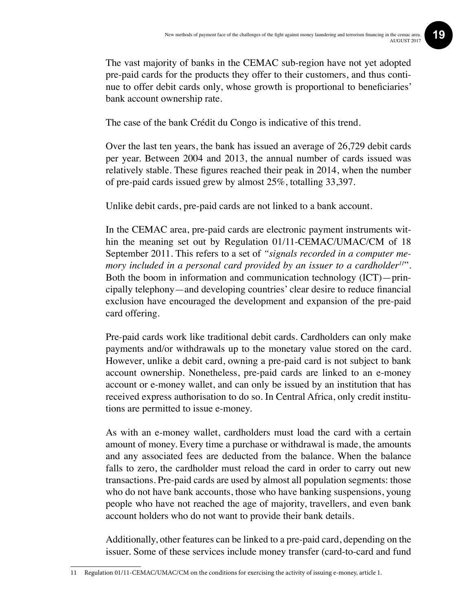The vast majority of banks in the CEMAC sub-region have not yet adopted pre-paid cards for the products they offer to their customers, and thus continue to offer debit cards only, whose growth is proportional to beneficiaries' bank account ownership rate.

The case of the bank Crédit du Congo is indicative of this trend.

Over the last ten years, the bank has issued an average of 26,729 debit cards per year. Between 2004 and 2013, the annual number of cards issued was relatively stable. These figures reached their peak in 2014, when the number of pre-paid cards issued grew by almost 25%, totalling 33,397.

Unlike debit cards, pre-paid cards are not linked to a bank account.

In the CEMAC area, pre-paid cards are electronic payment instruments within the meaning set out by Regulation 01/11-CEMAC/UMAC/CM of 18 September 2011. This refers to a set of *"signals recorded in a computer memory included in a personal card provided by an issuer to a cardholder<sup>11</sup>".* Both the boom in information and communication technology (ICT)—principally telephony—and developing countries' clear desire to reduce financial exclusion have encouraged the development and expansion of the pre-paid card offering.

Pre-paid cards work like traditional debit cards. Cardholders can only make payments and/or withdrawals up to the monetary value stored on the card. However, unlike a debit card, owning a pre-paid card is not subject to bank account ownership. Nonetheless, pre-paid cards are linked to an e-money account or e-money wallet, and can only be issued by an institution that has received express authorisation to do so. In Central Africa, only credit institutions are permitted to issue e-money.

As with an e-money wallet, cardholders must load the card with a certain amount of money. Every time a purchase or withdrawal is made, the amounts and any associated fees are deducted from the balance. When the balance falls to zero, the cardholder must reload the card in order to carry out new transactions. Pre-paid cards are used by almost all population segments: those who do not have bank accounts, those who have banking suspensions, young people who have not reached the age of majority, travellers, and even bank account holders who do not want to provide their bank details.

Additionally, other features can be linked to a pre-paid card, depending on the issuer. Some of these services include money transfer (card-to-card and fund

<sup>11</sup> Regulation 01/11-CEMAC/UMAC/CM on the conditions for exercising the activity of issuing e-money, article 1.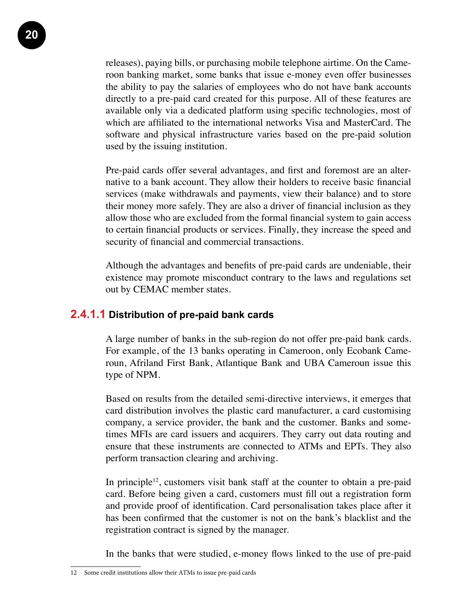releases), paying bills, or purchasing mobile telephone airtime. On the Cameroon banking market, some banks that issue e-money even offer businesses the ability to pay the salaries of employees who do not have bank accounts directly to a pre-paid card created for this purpose. All of these features are available only via a dedicated platform using specific technologies, most of which are affiliated to the international networks Visa and MasterCard. The software and physical infrastructure varies based on the pre-paid solution used by the issuing institution.

Pre-paid cards offer several advantages, and first and foremost are an alternative to a bank account. They allow their holders to receive basic financial services (make withdrawals and payments, view their balance) and to store their money more safely. They are also a driver of financial inclusion as they allow those who are excluded from the formal financial system to gain access to certain financial products or services. Finally, they increase the speed and security of financial and commercial transactions.

Although the advantages and benefits of pre-paid cards are undeniable, their existence may promote misconduct contrary to the laws and regulations set out by CEMAC member states.

#### **2.4.1.1 Distribution of pre-paid bank cards**

A large number of banks in the sub-region do not offer pre-paid bank cards. For example, of the 13 banks operating in Cameroon, only Ecobank Cameroun, Afriland First Bank, Atlantique Bank and UBA Cameroun issue this type of NPM.

Based on results from the detailed semi-directive interviews, it emerges that card distribution involves the plastic card manufacturer, a card customising company, a service provider, the bank and the customer. Banks and sometimes MFIs are card issuers and acquirers. They carry out data routing and ensure that these instruments are connected to ATMs and EPTs. They also perform transaction clearing and archiving.

In principle<sup>12</sup>, customers visit bank staff at the counter to obtain a pre-paid card. Before being given a card, customers must fill out a registration form and provide proof of identification. Card personalisation takes place after it has been confirmed that the customer is not on the bank's blacklist and the registration contract is signed by the manager.

In the banks that were studied, e-money flows linked to the use of pre-paid

<sup>12</sup> Some credit institutions allow their ATMs to issue pre-paid cards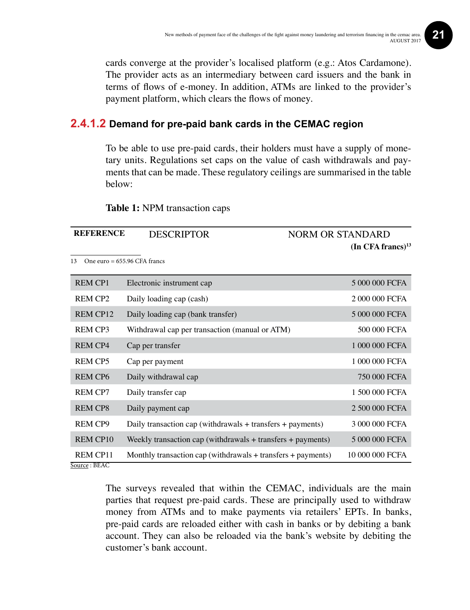cards converge at the provider's localised platform (e.g.: Atos Cardamone). The provider acts as an intermediary between card issuers and the bank in terms of flows of e-money. In addition, ATMs are linked to the provider's payment platform, which clears the flows of money.

#### **2.4.1.2 Demand for pre-paid bank cards in the CEMAC region**

To be able to use pre-paid cards, their holders must have a supply of monetary units. Regulations set caps on the value of cash withdrawals and payments that can be made. These regulatory ceilings are summarised in the table below:

**Table 1:** NPM transaction caps

| <b>REFERENCE</b>    | <b>DESCRIPTOR</b>                                                | <b>NORM OR STANDARD</b>         |
|---------------------|------------------------------------------------------------------|---------------------------------|
|                     |                                                                  | $(In$ CFA francs) <sup>13</sup> |
| 13                  | One euro = $655.96$ CFA francs                                   |                                 |
| <b>REM CP1</b>      | Electronic instrument cap                                        | 5 000 000 FCFA                  |
| REM CP <sub>2</sub> | Daily loading cap (cash)                                         | 2 000 000 FCFA                  |
| REM CP12            | Daily loading cap (bank transfer)                                | 5 000 000 FCFA                  |
| REM CP3             | Withdrawal cap per transaction (manual or ATM)                   | 500 000 FCFA                    |
| <b>REM CP4</b>      | Cap per transfer                                                 | 1 000 000 FCFA                  |
| REM CP5             | Cap per payment                                                  | 1 000 000 FCFA                  |
| <b>REM CP6</b>      | Daily withdrawal cap                                             | 750 000 FCFA                    |
| <b>REM CP7</b>      | Daily transfer cap                                               | 1 500 000 FCFA                  |
| <b>REM CP8</b>      | Daily payment cap                                                | 2 500 000 FCFA                  |
| <b>REM CP9</b>      | Daily transaction cap (withdrawals $+$ transfers $+$ payments)   | 3 000 000 FCFA                  |
| <b>REM CP10</b>     | Weekly transaction cap (withdrawals $+$ transfers $+$ payments)  | 5 000 000 FCFA                  |
| <b>REM CP11</b>     | Monthly transaction cap (withdrawals $+$ transfers $+$ payments) | 10 000 000 FCFA                 |

The surveys revealed that within the CEMAC, individuals are the main parties that request pre-paid cards. These are principally used to withdraw money from ATMs and to make payments via retailers' EPTs. In banks, pre-paid cards are reloaded either with cash in banks or by debiting a bank account. They can also be reloaded via the bank's website by debiting the customer's bank account.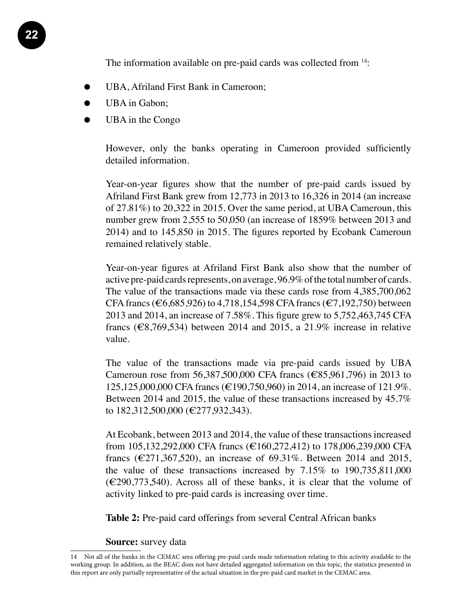The information available on pre-paid cards was collected from <sup>14</sup>:

- UBA, Afriland First Bank in Cameroon;
- UBA in Gabon;
- UBA in the Congo

However, only the banks operating in Cameroon provided sufficiently detailed information.

Year-on-year figures show that the number of pre-paid cards issued by Afriland First Bank grew from 12,773 in 2013 to 16,326 in 2014 (an increase of 27.81%) to 20,322 in 2015. Over the same period, at UBA Cameroun, this number grew from 2,555 to 50,050 (an increase of 1859% between 2013 and 2014) and to 145,850 in 2015. The figures reported by Ecobank Cameroun remained relatively stable.

Year-on-year figures at Afriland First Bank also show that the number of active pre-paid cards represents, on average, 96.9% of the total number of cards. The value of the transactions made via these cards rose from 4,385,700,062 CFA francs (€6,685,926) to 4,718,154,598 CFA francs (€7,192,750) between 2013 and 2014, an increase of 7.58%. This figure grew to 5,752,463,745 CFA francs ( $\epsilon$ 8,769,534) between 2014 and 2015, a 21.9% increase in relative value.

The value of the transactions made via pre-paid cards issued by UBA Cameroun rose from 56,387,500,000 CFA francs (€85,961,796) in 2013 to 125,125,000,000 CFA francs (€190,750,960) in 2014, an increase of 121.9%. Between 2014 and 2015, the value of these transactions increased by 45.7% to 182,312,500,000 (€277,932,343).

At Ecobank, between 2013 and 2014, the value of these transactions increased from 105,132,292,000 CFA francs (€160,272,412) to 178,006,239,000 CFA francs ( $\epsilon$ 271,367,520), an increase of 69.31%. Between 2014 and 2015, the value of these transactions increased by 7.15% to 190,735,811,000  $(\text{\textless}\,290,773,540)$ . Across all of these banks, it is clear that the volume of activity linked to pre-paid cards is increasing over time.

**Table 2:** Pre-paid card offerings from several Central African banks

**Source:** survey data

<sup>14</sup> Not all of the banks in the CEMAC area offering pre-paid cards made information relating to this activity available to the working group. In addition, as the BEAC does not have detailed aggregated information on this topic, the statistics presented in this report are only partially representative of the actual situation in the pre-paid card market in the CEMAC area.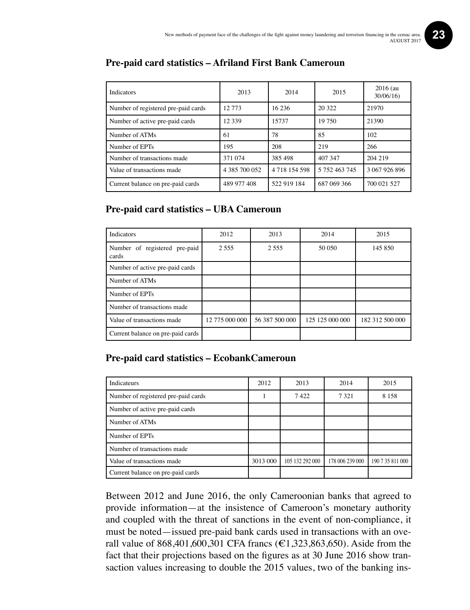| <b>Indicators</b>                   | 2013          | 2014          | 2015          | $2016$ (au<br>30/06/16 |
|-------------------------------------|---------------|---------------|---------------|------------------------|
| Number of registered pre-paid cards | 12.773        | 16 23 6       | 20 322        | 21970                  |
| Number of active pre-paid cards     | 12 3 3 9      | 15737         | 19 750        | 21390                  |
| Number of ATMs                      | 61            | 78            | 85            | 102                    |
| Number of EPTs                      | 195           | 208           | 219           | 266                    |
| Number of transactions made         | 371 074       | 385 498       | 407 347       | 204 219                |
| Value of transactions made          | 4 385 700 052 | 4 718 154 598 | 5 752 463 745 | 3 067 926 896          |
| Current balance on pre-paid cards   | 489 977 408   | 522 919 184   | 687 069 366   | 700 021 527            |

#### **Pre-paid card statistics – Afriland First Bank Cameroun**

#### **Pre-paid card statistics – UBA Cameroun**

| Indicators                             | 2012           | 2013           | 2014            | 2015            |
|----------------------------------------|----------------|----------------|-----------------|-----------------|
| Number of registered pre-paid<br>cards | 2.555          | 2 5 5 5        | 50 050          | 145 850         |
| Number of active pre-paid cards        |                |                |                 |                 |
| Number of ATMs                         |                |                |                 |                 |
| Number of EPTs                         |                |                |                 |                 |
| Number of transactions made            |                |                |                 |                 |
| Value of transactions made             | 12 775 000 000 | 56 387 500 000 | 125 125 000 000 | 182 312 500 000 |
| Current balance on pre-paid cards      |                |                |                 |                 |

#### **Pre-paid card statistics – EcobankCameroun**

| Indicateurs                         | 2012     | 2013            | 2014            | 2015             |
|-------------------------------------|----------|-----------------|-----------------|------------------|
| Number of registered pre-paid cards |          | 7422            | 7 3 2 1         | 8 1 5 8          |
| Number of active pre-paid cards     |          |                 |                 |                  |
| Number of ATMs                      |          |                 |                 |                  |
| Number of EPTs                      |          |                 |                 |                  |
| Number of transactions made         |          |                 |                 |                  |
| Value of transactions made          | 3013 000 | 105 132 292 000 | 178 006 239 000 | 190 7 35 811 000 |
| Current balance on pre-paid cards   |          |                 |                 |                  |

Between 2012 and June 2016, the only Cameroonian banks that agreed to provide information—at the insistence of Cameroon's monetary authority and coupled with the threat of sanctions in the event of non-compliance, it must be noted—issued pre-paid bank cards used in transactions with an overall value of 868,401,600,301 CFA francs (€1,323,863,650). Aside from the fact that their projections based on the figures as at 30 June 2016 show transaction values increasing to double the 2015 values, two of the banking ins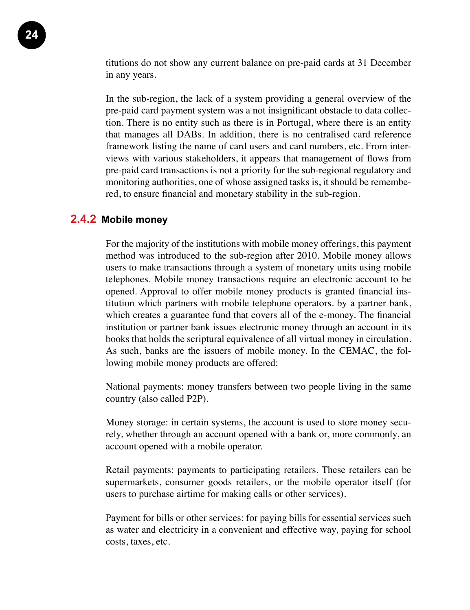titutions do not show any current balance on pre-paid cards at 31 December in any years.

In the sub-region, the lack of a system providing a general overview of the pre-paid card payment system was a not insignificant obstacle to data collection. There is no entity such as there is in Portugal, where there is an entity that manages all DABs. In addition, there is no centralised card reference framework listing the name of card users and card numbers, etc. From interviews with various stakeholders, it appears that management of flows from pre-paid card transactions is not a priority for the sub-regional regulatory and monitoring authorities, one of whose assigned tasks is, it should be remembered, to ensure financial and monetary stability in the sub-region.

#### **2.4.2 Mobile money**

For the majority of the institutions with mobile money offerings, this payment method was introduced to the sub-region after 2010. Mobile money allows users to make transactions through a system of monetary units using mobile telephones. Mobile money transactions require an electronic account to be opened. Approval to offer mobile money products is granted financial institution which partners with mobile telephone operators. by a partner bank, which creates a guarantee fund that covers all of the e-money. The financial institution or partner bank issues electronic money through an account in its books that holds the scriptural equivalence of all virtual money in circulation. As such, banks are the issuers of mobile money. In the CEMAC, the following mobile money products are offered:

National payments: money transfers between two people living in the same country (also called P2P).

Money storage: in certain systems, the account is used to store money securely, whether through an account opened with a bank or, more commonly, an account opened with a mobile operator.

Retail payments: payments to participating retailers. These retailers can be supermarkets, consumer goods retailers, or the mobile operator itself (for users to purchase airtime for making calls or other services).

Payment for bills or other services: for paying bills for essential services such as water and electricity in a convenient and effective way, paying for school costs, taxes, etc.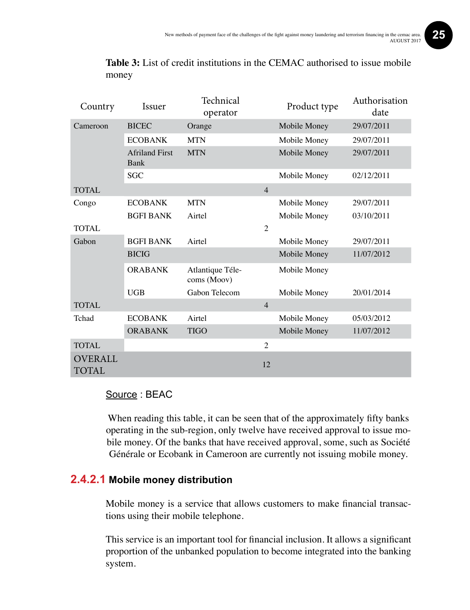| Country                        | Technical<br>Issuer<br>operator |                                 |                | Product type | Authorisation<br>date |
|--------------------------------|---------------------------------|---------------------------------|----------------|--------------|-----------------------|
| Cameroon                       | <b>BICEC</b>                    | Orange                          |                | Mobile Money | 29/07/2011            |
|                                | <b>ECOBANK</b>                  | <b>MTN</b>                      |                | Mobile Money | 29/07/2011            |
|                                | <b>Afriland First</b><br>Bank   | <b>MTN</b>                      |                | Mobile Money | 29/07/2011            |
|                                | <b>SGC</b>                      |                                 |                | Mobile Money | 02/12/2011            |
| <b>TOTAL</b>                   |                                 |                                 | $\overline{4}$ |              |                       |
| Congo                          | <b>ECOBANK</b>                  | <b>MTN</b>                      |                | Mobile Money | 29/07/2011            |
|                                | <b>BGFI BANK</b>                | Airtel                          |                | Mobile Money | 03/10/2011            |
| TOTAL                          |                                 |                                 | $\overline{2}$ |              |                       |
| Gabon                          | <b>BGFI BANK</b>                | Airtel                          |                | Mobile Money | 29/07/2011            |
|                                | <b>BICIG</b>                    |                                 |                | Mobile Money | 11/07/2012            |
|                                | <b>ORABANK</b>                  | Atlantique Téle-<br>coms (Moov) |                | Mobile Money |                       |
|                                | <b>UGB</b>                      | Gabon Telecom                   |                | Mobile Money | 20/01/2014            |
| <b>TOTAL</b>                   |                                 |                                 | $\overline{4}$ |              |                       |
| Tchad                          | <b>ECOBANK</b>                  | Airtel                          |                | Mobile Money | 05/03/2012            |
|                                | <b>ORABANK</b>                  | <b>TIGO</b>                     |                | Mobile Money | 11/07/2012            |
| <b>TOTAL</b>                   |                                 |                                 | $\overline{2}$ |              |                       |
| <b>OVERALL</b><br><b>TOTAL</b> |                                 |                                 | 12             |              |                       |

**Table 3:** List of credit institutions in the CEMAC authorised to issue mobile money

#### Source : BEAC

When reading this table, it can be seen that of the approximately fifty banks operating in the sub-region, only twelve have received approval to issue mobile money. Of the banks that have received approval, some, such as Société Générale or Ecobank in Cameroon are currently not issuing mobile money.

#### **2.4.2.1 Mobile money distribution**

Mobile money is a service that allows customers to make financial transactions using their mobile telephone.

This service is an important tool for financial inclusion. It allows a significant proportion of the unbanked population to become integrated into the banking system.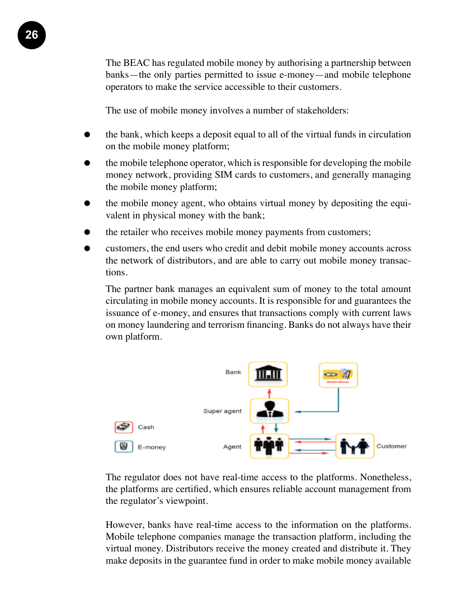The BEAC has regulated mobile money by authorising a partnership between banks—the only parties permitted to issue e-money—and mobile telephone operators to make the service accessible to their customers.

The use of mobile money involves a number of stakeholders:

- the bank, which keeps a deposit equal to all of the virtual funds in circulation on the mobile money platform;
- the mobile telephone operator, which is responsible for developing the mobile money network, providing SIM cards to customers, and generally managing the mobile money platform;
- the mobile money agent, who obtains virtual money by depositing the equivalent in physical money with the bank;
- the retailer who receives mobile money payments from customers;
- customers, the end users who credit and debit mobile money accounts across the network of distributors, and are able to carry out mobile money transactions.

The partner bank manages an equivalent sum of money to the total amount circulating in mobile money accounts. It is responsible for and guarantees the issuance of e-money, and ensures that transactions comply with current laws on money laundering and terrorism financing. Banks do not always have their own platform.



The regulator does not have real-time access to the platforms. Nonetheless, the platforms are certified, which ensures reliable account management from the regulator's viewpoint.

However, banks have real-time access to the information on the platforms. Mobile telephone companies manage the transaction platform, including the virtual money. Distributors receive the money created and distribute it. They make deposits in the guarantee fund in order to make mobile money available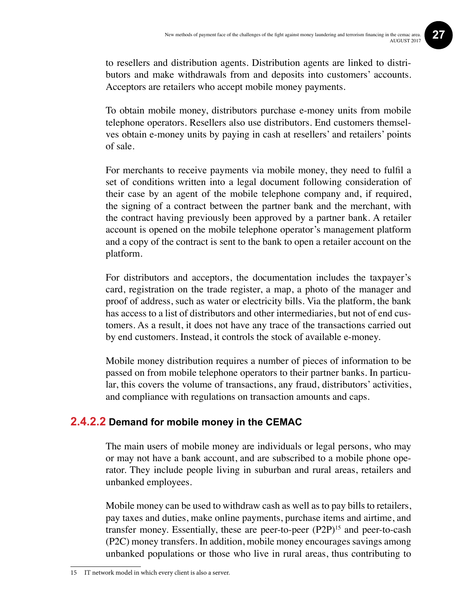to resellers and distribution agents. Distribution agents are linked to distributors and make withdrawals from and deposits into customers' accounts. Acceptors are retailers who accept mobile money payments.

To obtain mobile money, distributors purchase e-money units from mobile telephone operators. Resellers also use distributors. End customers themselves obtain e-money units by paying in cash at resellers' and retailers' points of sale.

For merchants to receive payments via mobile money, they need to fulfil a set of conditions written into a legal document following consideration of their case by an agent of the mobile telephone company and, if required, the signing of a contract between the partner bank and the merchant, with the contract having previously been approved by a partner bank. A retailer account is opened on the mobile telephone operator's management platform and a copy of the contract is sent to the bank to open a retailer account on the platform.

For distributors and acceptors, the documentation includes the taxpayer's card, registration on the trade register, a map, a photo of the manager and proof of address, such as water or electricity bills. Via the platform, the bank has access to a list of distributors and other intermediaries, but not of end customers. As a result, it does not have any trace of the transactions carried out by end customers. Instead, it controls the stock of available e-money.

Mobile money distribution requires a number of pieces of information to be passed on from mobile telephone operators to their partner banks. In particular, this covers the volume of transactions, any fraud, distributors' activities, and compliance with regulations on transaction amounts and caps.

#### **2.4.2.2 Demand for mobile money in the CEMAC**

The main users of mobile money are individuals or legal persons, who may or may not have a bank account, and are subscribed to a mobile phone operator. They include people living in suburban and rural areas, retailers and unbanked employees.

Mobile money can be used to withdraw cash as well as to pay bills to retailers, pay taxes and duties, make online payments, purchase items and airtime, and transfer money. Essentially, these are peer-to-peer (P2P)15 and peer-to-cash (P2C) money transfers. In addition, mobile money encourages savings among unbanked populations or those who live in rural areas, thus contributing to

<sup>15</sup> IT network model in which every client is also a server.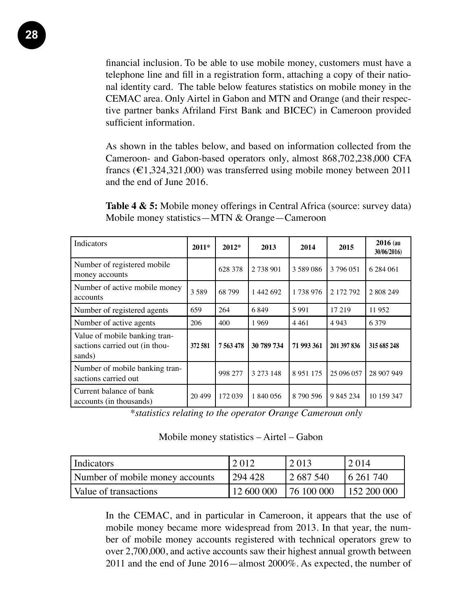financial inclusion. To be able to use mobile money, customers must have a telephone line and fill in a registration form, attaching a copy of their national identity card. The table below features statistics on mobile money in the CEMAC area. Only Airtel in Gabon and MTN and Orange (and their respective partner banks Afriland First Bank and BICEC) in Cameroon provided sufficient information.

As shown in the tables below, and based on information collected from the Cameroon- and Gabon-based operators only, almost 868,702,238,000 CFA francs ( $\epsilon$ 1,324,321,000) was transferred using mobile money between 2011 and the end of June 2016.

**Table 4 & 5:** Mobile money offerings in Central Africa (source: survey data) Mobile money statistics—MTN & Orange—Cameroon

| Indicators                                                                | $2011*$ | $2012*$       | 2013       | 2014       | 2015        | $2016$ (au<br>30/06/2016) |
|---------------------------------------------------------------------------|---------|---------------|------------|------------|-------------|---------------------------|
| Number of registered mobile<br>money accounts                             |         | 628 378       | 2 738 901  | 3 589 086  | 3796051     | 6 284 061                 |
| Number of active mobile money<br>accounts                                 | 3589    | 68 799        | 1 442 692  | 1 738 976  | 2 172 792   | 2 808 249                 |
| Number of registered agents                                               | 659     | 264           | 6849       | 5991       | 17 219      | 11 952                    |
| Number of active agents                                                   | 206     | 400           | 1969       | 4461       | 4 9 4 3     | 6 3 7 9                   |
| Value of mobile banking tran-<br>sactions carried out (in thou-<br>sands) | 372 581 | 7 5 6 3 4 7 8 | 30 789 734 | 71 993 361 | 201 397 836 | 315 685 248               |
| Number of mobile banking tran-<br>sactions carried out                    |         | 998 277       | 3 273 148  | 8951175    | 25 096 057  | 28 907 949                |
| Current balance of bank<br>accounts (in thousands)                        | 20 499  | 172 039       | 1 840 056  | 8 790 596  | 9 845 234   | 10 159 347                |

*\*statistics relating to the operator Orange Cameroun only*

Mobile money statistics – Airtel – Gabon

| Indicators                      | 2 012      | 2013       | 2 0 1 4      |
|---------------------------------|------------|------------|--------------|
| Number of mobile money accounts | 294 428    | 2 687 540  | 16 261 740   |
| Value of transactions           | 12 600 000 | 76 100 000 | 1152 200 000 |

In the CEMAC, and in particular in Cameroon, it appears that the use of mobile money became more widespread from 2013. In that year, the number of mobile money accounts registered with technical operators grew to over 2,700,000, and active accounts saw their highest annual growth between 2011 and the end of June 2016—almost 2000%. As expected, the number of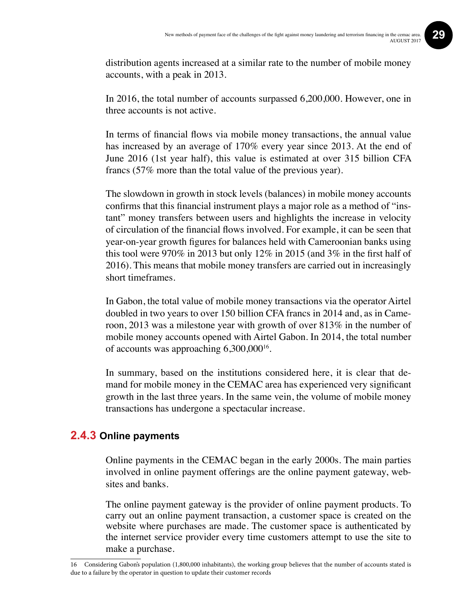distribution agents increased at a similar rate to the number of mobile money accounts, with a peak in 2013.

In 2016, the total number of accounts surpassed 6,200,000. However, one in three accounts is not active.

In terms of financial flows via mobile money transactions, the annual value has increased by an average of 170% every year since 2013. At the end of June 2016 (1st year half), this value is estimated at over 315 billion CFA francs (57% more than the total value of the previous year).

The slowdown in growth in stock levels (balances) in mobile money accounts confirms that this financial instrument plays a major role as a method of "instant" money transfers between users and highlights the increase in velocity of circulation of the financial flows involved. For example, it can be seen that year-on-year growth figures for balances held with Cameroonian banks using this tool were 970% in 2013 but only 12% in 2015 (and 3% in the first half of 2016). This means that mobile money transfers are carried out in increasingly short timeframes.

In Gabon, the total value of mobile money transactions via the operator Airtel doubled in two years to over 150 billion CFA francs in 2014 and, as in Cameroon, 2013 was a milestone year with growth of over 813% in the number of mobile money accounts opened with Airtel Gabon. In 2014, the total number of accounts was approaching 6,300,00016.

In summary, based on the institutions considered here, it is clear that demand for mobile money in the CEMAC area has experienced very significant growth in the last three years. In the same vein, the volume of mobile money transactions has undergone a spectacular increase.

#### **2.4.3 Online payments**

Online payments in the CEMAC began in the early 2000s. The main parties involved in online payment offerings are the online payment gateway, websites and banks.

The online payment gateway is the provider of online payment products. To carry out an online payment transaction, a customer space is created on the website where purchases are made. The customer space is authenticated by the internet service provider every time customers attempt to use the site to make a purchase.

<sup>16</sup> Considering Gabon's population (1,800,000 inhabitants), the working group believes that the number of accounts stated is due to a failure by the operator in question to update their customer records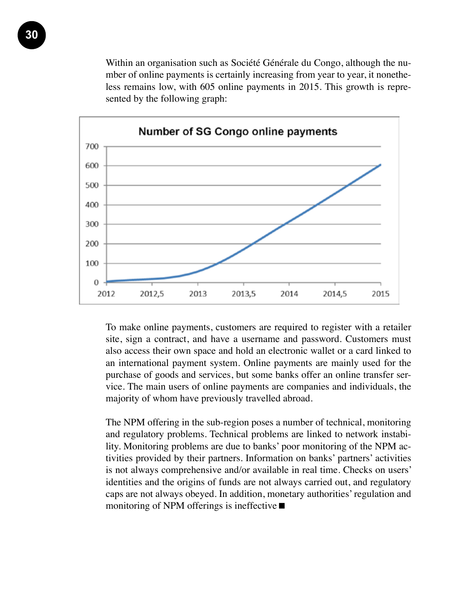Within an organisation such as Société Générale du Congo, although the number of online payments is certainly increasing from year to year, it nonetheless remains low, with 605 online payments in 2015. This growth is represented by the following graph:



To make online payments, customers are required to register with a retailer site, sign a contract, and have a username and password. Customers must also access their own space and hold an electronic wallet or a card linked to an international payment system. Online payments are mainly used for the purchase of goods and services, but some banks offer an online transfer service. The main users of online payments are companies and individuals, the majority of whom have previously travelled abroad.

The NPM offering in the sub-region poses a number of technical, monitoring and regulatory problems. Technical problems are linked to network instability. Monitoring problems are due to banks' poor monitoring of the NPM activities provided by their partners. Information on banks' partners' activities is not always comprehensive and/or available in real time. Checks on users' identities and the origins of funds are not always carried out, and regulatory caps are not always obeyed. In addition, monetary authorities' regulation and monitoring of NPM offerings is ineffective  $\blacksquare$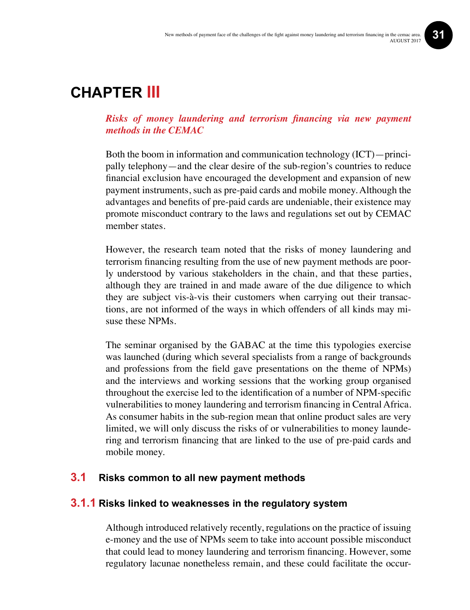### **Chapter III**

#### *Risks of money laundering and terrorism financing via new payment methods in the CEMAC*

Both the boom in information and communication technology (ICT)—principally telephony—and the clear desire of the sub-region's countries to reduce financial exclusion have encouraged the development and expansion of new payment instruments, such as pre-paid cards and mobile money. Although the advantages and benefits of pre-paid cards are undeniable, their existence may promote misconduct contrary to the laws and regulations set out by CEMAC member states.

However, the research team noted that the risks of money laundering and terrorism financing resulting from the use of new payment methods are poorly understood by various stakeholders in the chain, and that these parties, although they are trained in and made aware of the due diligence to which they are subject vis-à-vis their customers when carrying out their transactions, are not informed of the ways in which offenders of all kinds may misuse these NPMs.

The seminar organised by the GABAC at the time this typologies exercise was launched (during which several specialists from a range of backgrounds and professions from the field gave presentations on the theme of NPMs) and the interviews and working sessions that the working group organised throughout the exercise led to the identification of a number of NPM-specific vulnerabilities to money laundering and terrorism financing in Central Africa. As consumer habits in the sub-region mean that online product sales are very limited, we will only discuss the risks of or vulnerabilities to money laundering and terrorism financing that are linked to the use of pre-paid cards and mobile money.

#### **3.1 Risks common to all new payment methods**

#### **3.1.1 Risks linked to weaknesses in the regulatory system**

Although introduced relatively recently, regulations on the practice of issuing e-money and the use of NPMs seem to take into account possible misconduct that could lead to money laundering and terrorism financing. However, some regulatory lacunae nonetheless remain, and these could facilitate the occur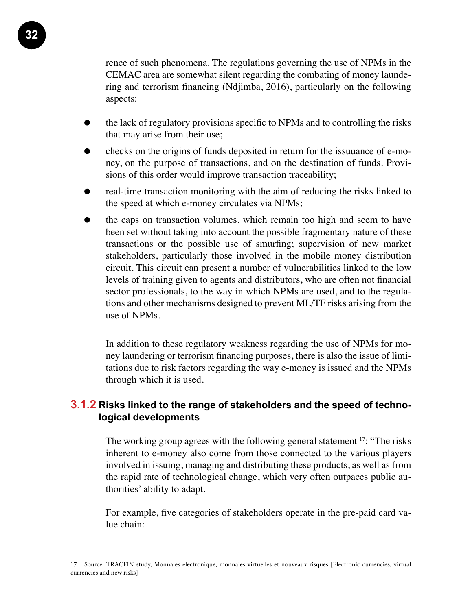rence of such phenomena. The regulations governing the use of NPMs in the CEMAC area are somewhat silent regarding the combating of money laundering and terrorism financing (Ndjimba, 2016), particularly on the following aspects:

- the lack of regulatory provisions specific to NPMs and to controlling the risks that may arise from their use;
- checks on the origins of funds deposited in return for the issuuance of e-money, on the purpose of transactions, and on the destination of funds. Provisions of this order would improve transaction traceability;
- real-time transaction monitoring with the aim of reducing the risks linked to the speed at which e-money circulates via NPMs;
- the caps on transaction volumes, which remain too high and seem to have been set without taking into account the possible fragmentary nature of these transactions or the possible use of smurfing; supervision of new market stakeholders, particularly those involved in the mobile money distribution circuit. This circuit can present a number of vulnerabilities linked to the low levels of training given to agents and distributors, who are often not financial sector professionals, to the way in which NPMs are used, and to the regulations and other mechanisms designed to prevent ML/TF risks arising from the use of NPMs.

In addition to these regulatory weakness regarding the use of NPMs for money laundering or terrorism financing purposes, there is also the issue of limitations due to risk factors regarding the way e-money is issued and the NPMs through which it is used.

#### **3.1.2 Risks linked to the range of stakeholders and the speed of technological developments**

The working group agrees with the following general statement <sup>17</sup>: "The risks" inherent to e-money also come from those connected to the various players involved in issuing, managing and distributing these products, as well as from the rapid rate of technological change, which very often outpaces public authorities' ability to adapt.

For example, five categories of stakeholders operate in the pre-paid card value chain:

<sup>17</sup> Source: TRACFIN study, Monnaies électronique, monnaies virtuelles et nouveaux risques [Electronic currencies, virtual currencies and new risks]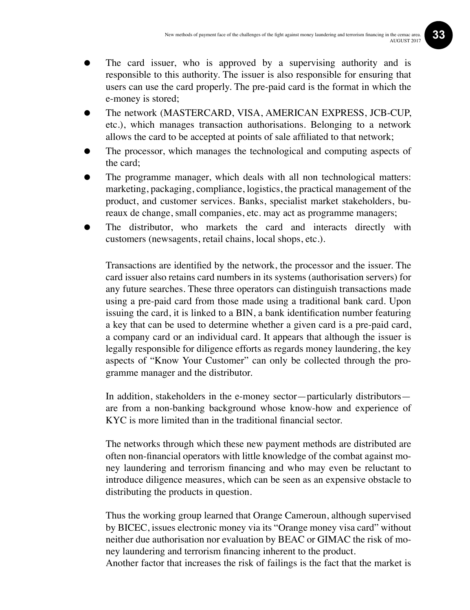- The card issuer, who is approved by a supervising authority and is responsible to this authority. The issuer is also responsible for ensuring that users can use the card properly. The pre-paid card is the format in which the e-money is stored;
- The network (MASTERCARD, VISA, AMERICAN EXPRESS, JCB-CUP, etc.), which manages transaction authorisations. Belonging to a network allows the card to be accepted at points of sale affiliated to that network;
- The processor, which manages the technological and computing aspects of the card;
- The programme manager, which deals with all non technological matters: marketing, packaging, compliance, logistics, the practical management of the product, and customer services. Banks, specialist market stakeholders, bureaux de change, small companies, etc. may act as programme managers;
- The distributor, who markets the card and interacts directly with customers (newsagents, retail chains, local shops, etc.).

Transactions are identified by the network, the processor and the issuer. The card issuer also retains card numbers in its systems (authorisation servers) for any future searches. These three operators can distinguish transactions made using a pre-paid card from those made using a traditional bank card. Upon issuing the card, it is linked to a BIN, a bank identification number featuring a key that can be used to determine whether a given card is a pre-paid card, a company card or an individual card. It appears that although the issuer is legally responsible for diligence efforts as regards money laundering, the key aspects of "Know Your Customer" can only be collected through the programme manager and the distributor.

In addition, stakeholders in the e-money sector—particularly distributors are from a non-banking background whose know-how and experience of KYC is more limited than in the traditional financial sector.

The networks through which these new payment methods are distributed are often non-financial operators with little knowledge of the combat against money laundering and terrorism financing and who may even be reluctant to introduce diligence measures, which can be seen as an expensive obstacle to distributing the products in question.

Thus the working group learned that Orange Cameroun, although supervised by BICEC, issues electronic money via its "Orange money visa card" without neither due authorisation nor evaluation by BEAC or GIMAC the risk of money laundering and terrorism financing inherent to the product.

Another factor that increases the risk of failings is the fact that the market is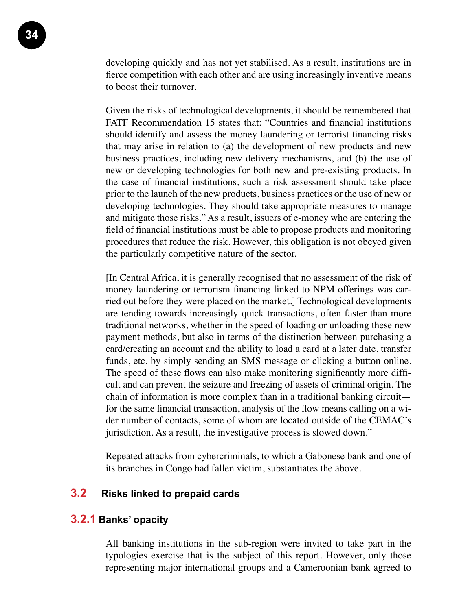developing quickly and has not yet stabilised. As a result, institutions are in fierce competition with each other and are using increasingly inventive means to boost their turnover.

Given the risks of technological developments, it should be remembered that FATF Recommendation 15 states that: "Countries and financial institutions should identify and assess the money laundering or terrorist financing risks that may arise in relation to (a) the development of new products and new business practices, including new delivery mechanisms, and (b) the use of new or developing technologies for both new and pre-existing products. In the case of financial institutions, such a risk assessment should take place prior to the launch of the new products, business practices or the use of new or developing technologies. They should take appropriate measures to manage and mitigate those risks." As a result, issuers of e-money who are entering the field of financial institutions must be able to propose products and monitoring procedures that reduce the risk. However, this obligation is not obeyed given the particularly competitive nature of the sector.

[In Central Africa, it is generally recognised that no assessment of the risk of money laundering or terrorism financing linked to NPM offerings was carried out before they were placed on the market.] Technological developments are tending towards increasingly quick transactions, often faster than more traditional networks, whether in the speed of loading or unloading these new payment methods, but also in terms of the distinction between purchasing a card/creating an account and the ability to load a card at a later date, transfer funds, etc. by simply sending an SMS message or clicking a button online. The speed of these flows can also make monitoring significantly more difficult and can prevent the seizure and freezing of assets of criminal origin. The chain of information is more complex than in a traditional banking circuit for the same financial transaction, analysis of the flow means calling on a wider number of contacts, some of whom are located outside of the CEMAC's jurisdiction. As a result, the investigative process is slowed down."

Repeated attacks from cybercriminals, to which a Gabonese bank and one of its branches in Congo had fallen victim, substantiates the above.

#### **3.2 Risks linked to prepaid cards**

#### **3.2.1 Banks' opacity**

All banking institutions in the sub-region were invited to take part in the typologies exercise that is the subject of this report. However, only those representing major international groups and a Cameroonian bank agreed to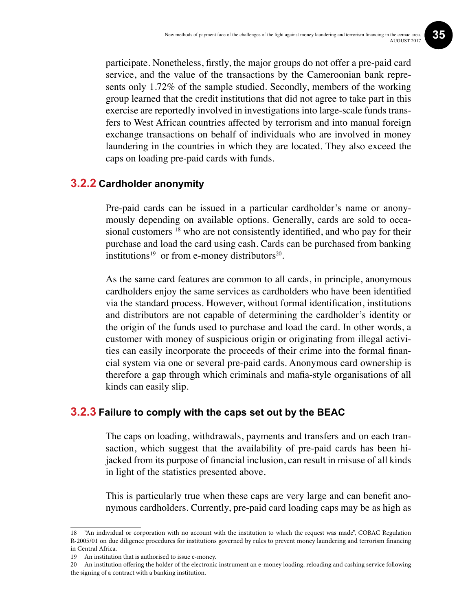participate. Nonetheless, firstly, the major groups do not offer a pre-paid card service, and the value of the transactions by the Cameroonian bank represents only 1.72% of the sample studied. Secondly, members of the working group learned that the credit institutions that did not agree to take part in this exercise are reportedly involved in investigations into large-scale funds transfers to West African countries affected by terrorism and into manual foreign exchange transactions on behalf of individuals who are involved in money laundering in the countries in which they are located. They also exceed the caps on loading pre-paid cards with funds.

#### **3.2.2 Cardholder anonymity**

Pre-paid cards can be issued in a particular cardholder's name or anonymously depending on available options. Generally, cards are sold to occasional customers<sup>18</sup> who are not consistently identified, and who pay for their purchase and load the card using cash. Cards can be purchased from banking institutions<sup>19</sup> or from e-money distributors<sup>20</sup>.

As the same card features are common to all cards, in principle, anonymous cardholders enjoy the same services as cardholders who have been identified via the standard process. However, without formal identification, institutions and distributors are not capable of determining the cardholder's identity or the origin of the funds used to purchase and load the card. In other words, a customer with money of suspicious origin or originating from illegal activities can easily incorporate the proceeds of their crime into the formal financial system via one or several pre-paid cards. Anonymous card ownership is therefore a gap through which criminals and mafia-style organisations of all kinds can easily slip.

#### **3.2.3 Failure to comply with the caps set out by the BEAC**

The caps on loading, withdrawals, payments and transfers and on each transaction, which suggest that the availability of pre-paid cards has been hijacked from its purpose of financial inclusion, can result in misuse of all kinds in light of the statistics presented above.

This is particularly true when these caps are very large and can benefit anonymous cardholders. Currently, pre-paid card loading caps may be as high as

<sup>18 &</sup>quot;An individual or corporation with no account with the institution to which the request was made", COBAC Regulation R-2005/01 on due diligence procedures for institutions governed by rules to prevent money laundering and terrorism financing in Central Africa.

<sup>19</sup> An institution that is authorised to issue e-money.

<sup>20</sup> An institution offering the holder of the electronic instrument an e-money loading, reloading and cashing service following the signing of a contract with a banking institution.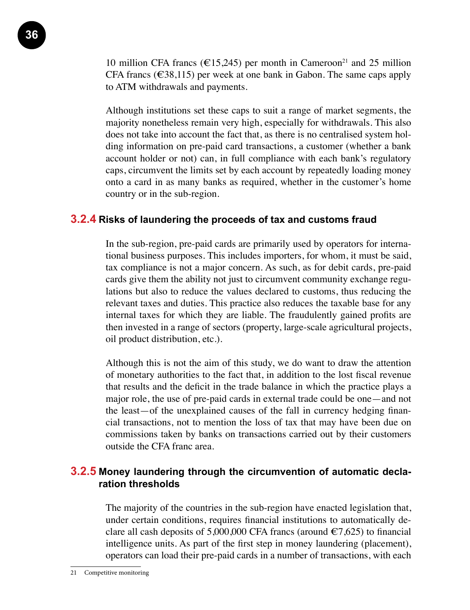10 million CFA francs (€15,245) per month in Cameroon<sup>21</sup> and 25 million CFA francs ( $\in$ 38,115) per week at one bank in Gabon. The same caps apply to ATM withdrawals and payments.

Although institutions set these caps to suit a range of market segments, the majority nonetheless remain very high, especially for withdrawals. This also does not take into account the fact that, as there is no centralised system holding information on pre-paid card transactions, a customer (whether a bank account holder or not) can, in full compliance with each bank's regulatory caps, circumvent the limits set by each account by repeatedly loading money onto a card in as many banks as required, whether in the customer's home country or in the sub-region.

#### **3.2.4 Risks of laundering the proceeds of tax and customs fraud**

In the sub-region, pre-paid cards are primarily used by operators for international business purposes. This includes importers, for whom, it must be said, tax compliance is not a major concern. As such, as for debit cards, pre-paid cards give them the ability not just to circumvent community exchange regulations but also to reduce the values declared to customs, thus reducing the relevant taxes and duties. This practice also reduces the taxable base for any internal taxes for which they are liable. The fraudulently gained profits are then invested in a range of sectors (property, large-scale agricultural projects, oil product distribution, etc.).

Although this is not the aim of this study, we do want to draw the attention of monetary authorities to the fact that, in addition to the lost fiscal revenue that results and the deficit in the trade balance in which the practice plays a major role, the use of pre-paid cards in external trade could be one—and not the least—of the unexplained causes of the fall in currency hedging financial transactions, not to mention the loss of tax that may have been due on commissions taken by banks on transactions carried out by their customers outside the CFA franc area.

#### **3.2.5 Money laundering through the circumvention of automatic declaration thresholds**

The majority of the countries in the sub-region have enacted legislation that, under certain conditions, requires financial institutions to automatically declare all cash deposits of 5,000,000 CFA francs (around  $\epsilon$ 7,625) to financial intelligence units. As part of the first step in money laundering (placement), operators can load their pre-paid cards in a number of transactions, with each

<sup>21</sup> Competitive monitoring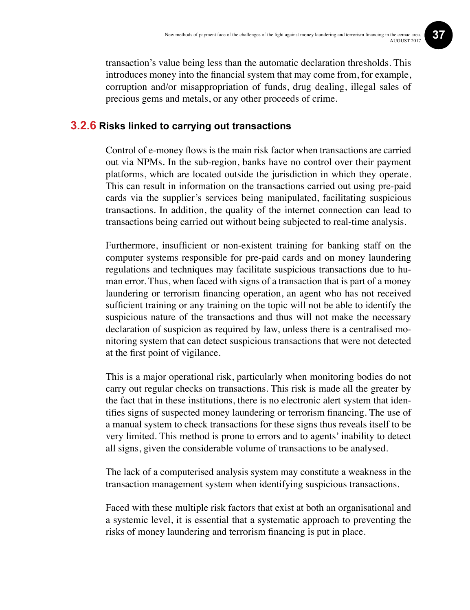transaction's value being less than the automatic declaration thresholds. This introduces money into the financial system that may come from, for example, corruption and/or misappropriation of funds, drug dealing, illegal sales of precious gems and metals, or any other proceeds of crime.

#### **3.2.6 Risks linked to carrying out transactions**

Control of e-money flows is the main risk factor when transactions are carried out via NPMs. In the sub-region, banks have no control over their payment platforms, which are located outside the jurisdiction in which they operate. This can result in information on the transactions carried out using pre-paid cards via the supplier's services being manipulated, facilitating suspicious transactions. In addition, the quality of the internet connection can lead to transactions being carried out without being subjected to real-time analysis.

Furthermore, insufficient or non-existent training for banking staff on the computer systems responsible for pre-paid cards and on money laundering regulations and techniques may facilitate suspicious transactions due to human error. Thus, when faced with signs of a transaction that is part of a money laundering or terrorism financing operation, an agent who has not received sufficient training or any training on the topic will not be able to identify the suspicious nature of the transactions and thus will not make the necessary declaration of suspicion as required by law, unless there is a centralised monitoring system that can detect suspicious transactions that were not detected at the first point of vigilance.

This is a major operational risk, particularly when monitoring bodies do not carry out regular checks on transactions. This risk is made all the greater by the fact that in these institutions, there is no electronic alert system that identifies signs of suspected money laundering or terrorism financing. The use of a manual system to check transactions for these signs thus reveals itself to be very limited. This method is prone to errors and to agents' inability to detect all signs, given the considerable volume of transactions to be analysed.

The lack of a computerised analysis system may constitute a weakness in the transaction management system when identifying suspicious transactions.

Faced with these multiple risk factors that exist at both an organisational and a systemic level, it is essential that a systematic approach to preventing the risks of money laundering and terrorism financing is put in place.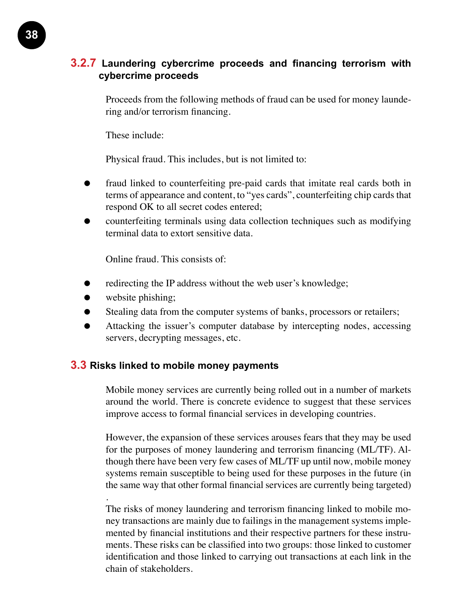#### **3.2.7 Laundering cybercrime proceeds and financing terrorism with cybercrime proceeds**

Proceeds from the following methods of fraud can be used for money laundering and/or terrorism financing.

These include:

Physical fraud. This includes, but is not limited to:

- fraud linked to counterfeiting pre-paid cards that imitate real cards both in terms of appearance and content, to "yes cards", counterfeiting chip cards that respond OK to all secret codes entered;
- counterfeiting terminals using data collection techniques such as modifying terminal data to extort sensitive data.

Online fraud. This consists of:

- redirecting the IP address without the web user's knowledge;
- website phishing;

.

- Stealing data from the computer systems of banks, processors or retailers;
- Attacking the issuer's computer database by intercepting nodes, accessing servers, decrypting messages, etc.

#### **3.3 Risks linked to mobile money payments**

Mobile money services are currently being rolled out in a number of markets around the world. There is concrete evidence to suggest that these services improve access to formal financial services in developing countries.

However, the expansion of these services arouses fears that they may be used for the purposes of money laundering and terrorism financing (ML/TF). Although there have been very few cases of ML/TF up until now, mobile money systems remain susceptible to being used for these purposes in the future (in the same way that other formal financial services are currently being targeted)

The risks of money laundering and terrorism financing linked to mobile money transactions are mainly due to failings in the management systems implemented by financial institutions and their respective partners for these instruments. These risks can be classified into two groups: those linked to customer identification and those linked to carrying out transactions at each link in the chain of stakeholders.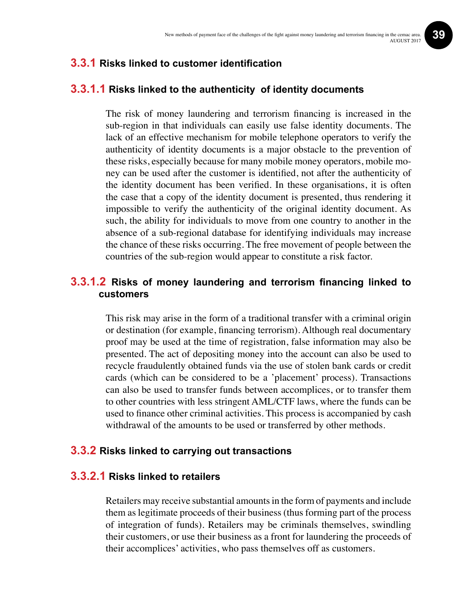#### **3.3.1 Risks linked to customer identification**

#### **3.3.1.1 Risks linked to the authenticity of identity documents**

The risk of money laundering and terrorism financing is increased in the sub-region in that individuals can easily use false identity documents. The lack of an effective mechanism for mobile telephone operators to verify the authenticity of identity documents is a major obstacle to the prevention of these risks, especially because for many mobile money operators, mobile money can be used after the customer is identified, not after the authenticity of the identity document has been verified. In these organisations, it is often the case that a copy of the identity document is presented, thus rendering it impossible to verify the authenticity of the original identity document. As such, the ability for individuals to move from one country to another in the absence of a sub-regional database for identifying individuals may increase the chance of these risks occurring. The free movement of people between the countries of the sub-region would appear to constitute a risk factor.

#### **3.3.1.2 Risks of money laundering and terrorism financing linked to customers**

This risk may arise in the form of a traditional transfer with a criminal origin or destination (for example, financing terrorism). Although real documentary proof may be used at the time of registration, false information may also be presented. The act of depositing money into the account can also be used to recycle fraudulently obtained funds via the use of stolen bank cards or credit cards (which can be considered to be a 'placement' process). Transactions can also be used to transfer funds between accomplices, or to transfer them to other countries with less stringent AML/CTF laws, where the funds can be used to finance other criminal activities. This process is accompanied by cash withdrawal of the amounts to be used or transferred by other methods.

#### **3.3.2 Risks linked to carrying out transactions**

#### **3.3.2.1 Risks linked to retailers**

Retailers may receive substantial amounts in the form of payments and include them as legitimate proceeds of their business (thus forming part of the process of integration of funds). Retailers may be criminals themselves, swindling their customers, or use their business as a front for laundering the proceeds of their accomplices' activities, who pass themselves off as customers.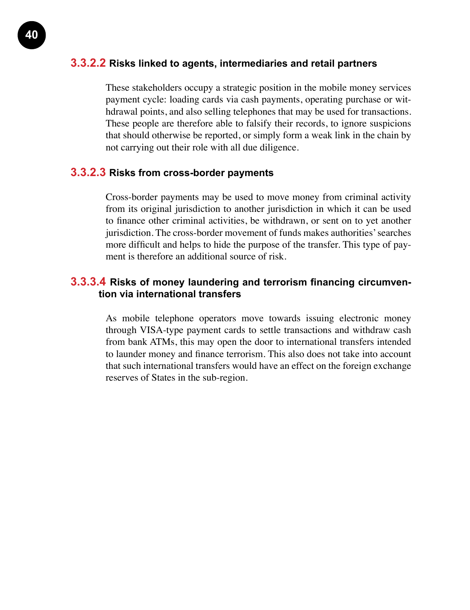#### **3.3.2.2 Risks linked to agents, intermediaries and retail partners**

These stakeholders occupy a strategic position in the mobile money services payment cycle: loading cards via cash payments, operating purchase or withdrawal points, and also selling telephones that may be used for transactions. These people are therefore able to falsify their records, to ignore suspicions that should otherwise be reported, or simply form a weak link in the chain by not carrying out their role with all due diligence.

#### **3.3.2.3 Risks from cross-border payments**

Cross-border payments may be used to move money from criminal activity from its original jurisdiction to another jurisdiction in which it can be used to finance other criminal activities, be withdrawn, or sent on to yet another jurisdiction. The cross-border movement of funds makes authorities' searches more difficult and helps to hide the purpose of the transfer. This type of payment is therefore an additional source of risk.

#### **3.3.3.4 Risks of money laundering and terrorism financing circumvention via international transfers**

As mobile telephone operators move towards issuing electronic money through VISA-type payment cards to settle transactions and withdraw cash from bank ATMs, this may open the door to international transfers intended to launder money and finance terrorism. This also does not take into account that such international transfers would have an effect on the foreign exchange reserves of States in the sub-region.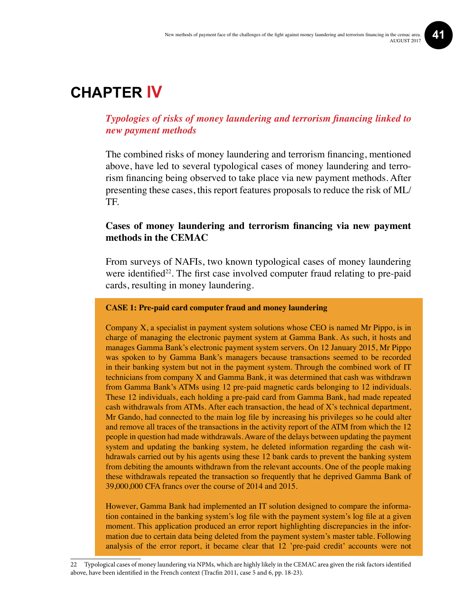### **Chapter IV**

#### *Typologies of risks of money laundering and terrorism financing linked to new payment methods*

The combined risks of money laundering and terrorism financing, mentioned above, have led to several typological cases of money laundering and terrorism financing being observed to take place via new payment methods. After presenting these cases, this report features proposals to reduce the risk of ML/ TF.

#### **Cases of money laundering and terrorism financing via new payment methods in the CEMAC**

From surveys of NAFIs, two known typological cases of money laundering were identified<sup>22</sup>. The first case involved computer fraud relating to pre-paid cards, resulting in money laundering.

#### **CASE 1: Pre-paid card computer fraud and money laundering**

Company X, a specialist in payment system solutions whose CEO is named Mr Pippo, is in charge of managing the electronic payment system at Gamma Bank. As such, it hosts and manages Gamma Bank's electronic payment system servers. On 12 January 2015, Mr Pippo was spoken to by Gamma Bank's managers because transactions seemed to be recorded in their banking system but not in the payment system. Through the combined work of IT technicians from company X and Gamma Bank, it was determined that cash was withdrawn from Gamma Bank's ATMs using 12 pre-paid magnetic cards belonging to 12 individuals. These 12 individuals, each holding a pre-paid card from Gamma Bank, had made repeated cash withdrawals from ATMs. After each transaction, the head of X's technical department, Mr Gando, had connected to the main log file by increasing his privileges so he could alter and remove all traces of the transactions in the activity report of the ATM from which the 12 people in question had made withdrawals. Aware of the delays between updating the payment system and updating the banking system, he deleted information regarding the cash withdrawals carried out by his agents using these 12 bank cards to prevent the banking system from debiting the amounts withdrawn from the relevant accounts. One of the people making these withdrawals repeated the transaction so frequently that he deprived Gamma Bank of 39,000,000 CFA francs over the course of 2014 and 2015.

However, Gamma Bank had implemented an IT solution designed to compare the information contained in the banking system's log file with the payment system's log file at a given moment. This application produced an error report highlighting discrepancies in the information due to certain data being deleted from the payment system's master table. Following analysis of the error report, it became clear that 12 'pre-paid credit' accounts were not

22 Typological cases of money laundering via NPMs, which are highly likely in the CEMAC area given the risk factors identified above, have been identified in the French context (Tracfin 2011, case 5 and 6, pp. 18-23).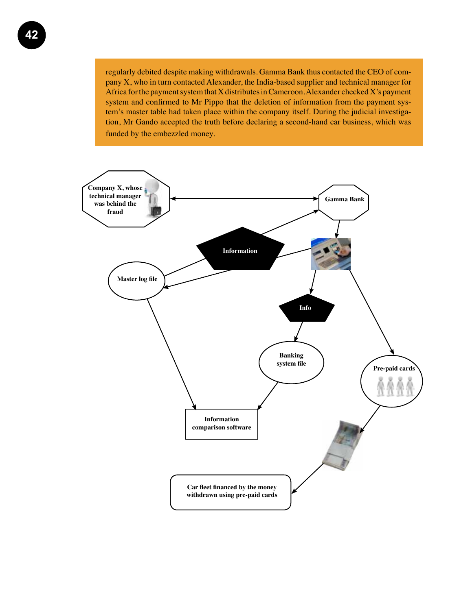regularly debited despite making withdrawals. Gamma Bank thus contacted the CEO of company X, who in turn contacted Alexander, the India-based supplier and technical manager for Africa for the payment system that X distributes in Cameroon. Alexander checked X's payment system and confirmed to Mr Pippo that the deletion of information from the payment system's master table had taken place within the company itself. During the judicial investigation, Mr Gando accepted the truth before declaring a second-hand car business, which was funded by the embezzled money.

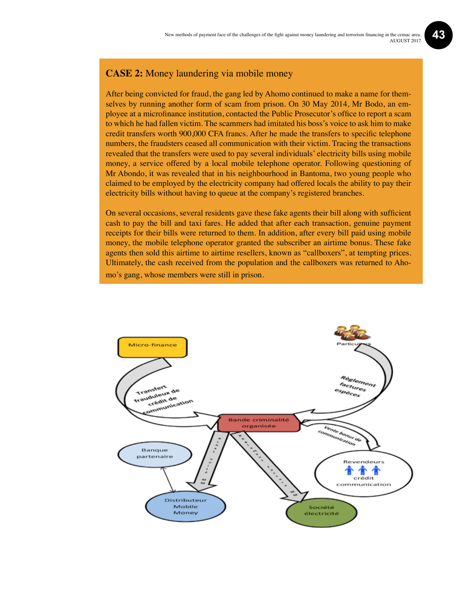#### **CASE 2:** Money laundering via mobile money

After being convicted for fraud, the gang led by Ahomo continued to make a name for themselves by running another form of scam from prison. On 30 May 2014, Mr Bodo, an employee at a microfinance institution, contacted the Public Prosecutor's office to report a scam to which he had fallen victim. The scammers had imitated his boss's voice to ask him to make credit transfers worth 900,000 CFA francs. After he made the transfers to specific telephone numbers, the fraudsters ceased all communication with their victim. Tracing the transactions revealed that the transfers were used to pay several individuals' electricity bills using mobile money, a service offered by a local mobile telephone operator. Following questioning of Mr Abondo, it was revealed that in his neighbourhood in Bantoma, two young people who claimed to be employed by the electricity company had offered locals the ability to pay their electricity bills without having to queue at the company's registered branches.

On several occasions, several residents gave these fake agents their bill along with sufficient cash to pay the bill and taxi fares. He added that after each transaction, genuine payment receipts for their bills were returned to them. In addition, after every bill paid using mobile money, the mobile telephone operator granted the subscriber an airtime bonus. These fake agents then sold this airtime to airtime resellers, known as "callboxers", at tempting prices. Ultimately, the cash received from the population and the callboxers was returned to Ahomo's gang, whose members were still in prison.

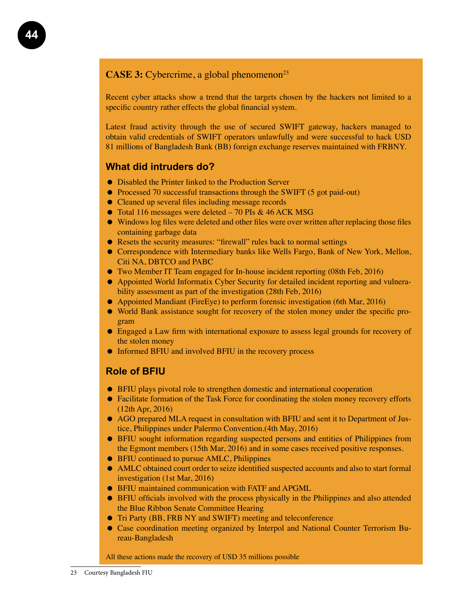#### **CASE 3:** Cybercrime, a global phenomenon<sup>23</sup>

Recent cyber attacks show a trend that the targets chosen by the hackers not limited to a specific country rather effects the global financial system.

Latest fraud activity through the use of secured SWIFT gateway, hackers managed to obtain valid credentials of SWIFT operators unlawfully and were successful to hack USD 81 millions of Bangladesh Bank (BB) foreign exchange reserves maintained with FRBNY.

#### **What did intruders do?**

- Disabled the Printer linked to the Production Server
- Processed 70 successful transactions through the SWIFT (5 got paid-out)
- Cleaned up several files including message records
- Total 116 messages were deleted 70 PIs & 46 ACK MSG
- Windows log files were deleted and other files were over written after replacing those files containing garbage data
- Resets the security measures: "firewall" rules back to normal settings
- Correspondence with Intermediary banks like Wells Fargo, Bank of New York, Mellon, Citi NA, DBTCO and PABC
- Two Member IT Team engaged for In-house incident reporting (08th Feb, 2016)
- Appointed World Informatix Cyber Security for detailed incident reporting and vulnerability assessment as part of the investigation (28th Feb, 2016)
- Appointed Mandiant (FireEye) to perform forensic investigation (6th Mar, 2016)
- World Bank assistance sought for recovery of the stolen money under the specific program
- Engaged a Law firm with international exposure to assess legal grounds for recovery of the stolen money
- Informed BFIU and involved BFIU in the recovery process

#### **Role of BFIU**

- BFIU plays pivotal role to strengthen domestic and international cooperation
- Facilitate formation of the Task Force for coordinating the stolen money recovery efforts (12th Apr, 2016)
- AGO prepared MLA request in consultation with BFIU and sent it to Department of Justice, Philippines under Palermo Convention.(4th May, 2016)
- BFIU sought information regarding suspected persons and entities of Philippines from the Egmont members (15th Mar, 2016) and in some cases received positive responses.
- BFIU continued to pursue AMLC, Philippines
- AMLC obtained court order to seize identified suspected accounts and also to start formal investigation (1st Mar, 2016)
- BFIU maintained communication with FATF and APGML
- BFIU officials involved with the process physically in the Philippines and also attended the Blue Ribbon Senate Committee Hearing
- Tri Party (BB, FRB NY and SWIFT) meeting and teleconference
- Case coordination meeting organized by Interpol and National Counter Terrorism Bureau-Bangladesh

All these actions made the recovery of USD 35 millions possible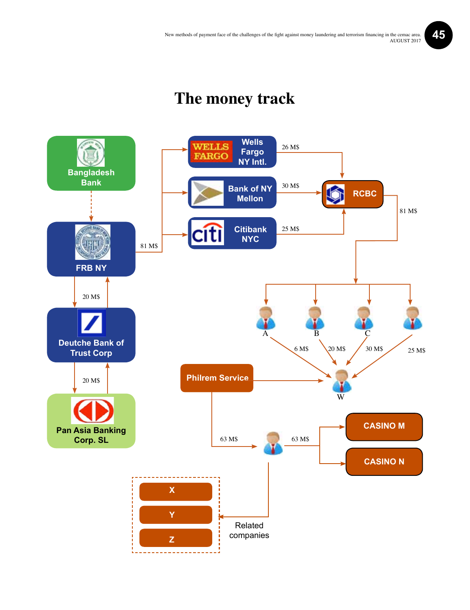### **The money track**

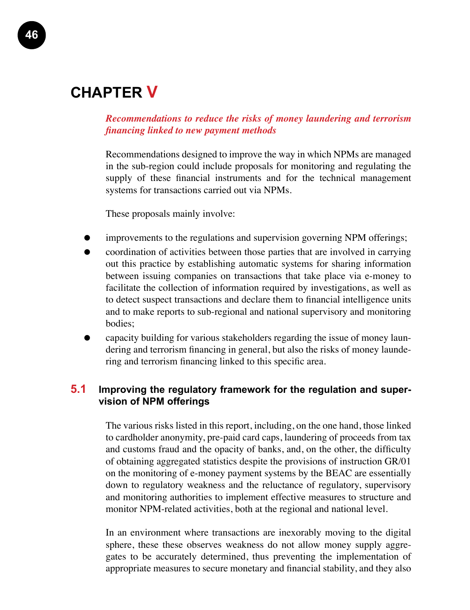### **Chapter V**

*Recommendations to reduce the risks of money laundering and terrorism financing linked to new payment methods*

Recommendations designed to improve the way in which NPMs are managed in the sub-region could include proposals for monitoring and regulating the supply of these financial instruments and for the technical management systems for transactions carried out via NPMs.

These proposals mainly involve:

- improvements to the regulations and supervision governing NPM offerings;
- coordination of activities between those parties that are involved in carrying out this practice by establishing automatic systems for sharing information between issuing companies on transactions that take place via e-money to facilitate the collection of information required by investigations, as well as to detect suspect transactions and declare them to financial intelligence units and to make reports to sub-regional and national supervisory and monitoring bodies;
- capacity building for various stakeholders regarding the issue of money laundering and terrorism financing in general, but also the risks of money laundering and terrorism financing linked to this specific area.

#### **5.1 Improving the regulatory framework for the regulation and supervision of NPM offerings**

The various risks listed in this report, including, on the one hand, those linked to cardholder anonymity, pre-paid card caps, laundering of proceeds from tax and customs fraud and the opacity of banks, and, on the other, the difficulty of obtaining aggregated statistics despite the provisions of instruction GR/01 on the monitoring of e-money payment systems by the BEAC are essentially down to regulatory weakness and the reluctance of regulatory, supervisory and monitoring authorities to implement effective measures to structure and monitor NPM-related activities, both at the regional and national level.

In an environment where transactions are inexorably moving to the digital sphere, these these observes weakness do not allow money supply aggregates to be accurately determined, thus preventing the implementation of appropriate measures to secure monetary and financial stability, and they also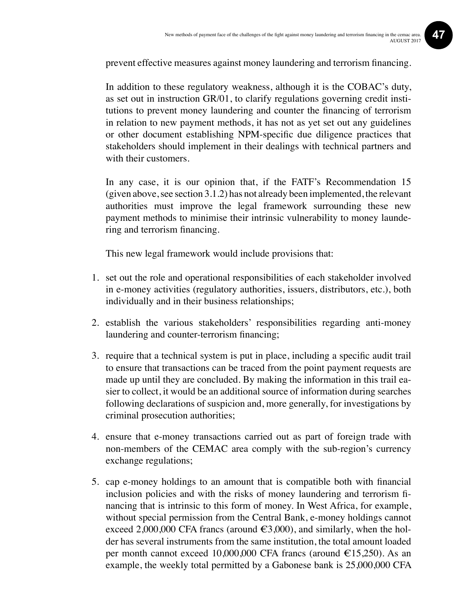prevent effective measures against money laundering and terrorism financing.

In addition to these regulatory weakness, although it is the COBAC's duty, as set out in instruction GR/01, to clarify regulations governing credit institutions to prevent money laundering and counter the financing of terrorism in relation to new payment methods, it has not as yet set out any guidelines or other document establishing NPM-specific due diligence practices that stakeholders should implement in their dealings with technical partners and with their customers.

In any case, it is our opinion that, if the FATF's Recommendation 15 (given above, see section 3.1.2) has not already been implemented, the relevant authorities must improve the legal framework surrounding these new payment methods to minimise their intrinsic vulnerability to money laundering and terrorism financing.

This new legal framework would include provisions that:

- 1. set out the role and operational responsibilities of each stakeholder involved in e-money activities (regulatory authorities, issuers, distributors, etc.), both individually and in their business relationships;
- 2. establish the various stakeholders' responsibilities regarding anti-money laundering and counter-terrorism financing;
- 3. require that a technical system is put in place, including a specific audit trail to ensure that transactions can be traced from the point payment requests are made up until they are concluded. By making the information in this trail easier to collect, it would be an additional source of information during searches following declarations of suspicion and, more generally, for investigations by criminal prosecution authorities;
- 4. ensure that e-money transactions carried out as part of foreign trade with non-members of the CEMAC area comply with the sub-region's currency exchange regulations;
- 5. cap e-money holdings to an amount that is compatible both with financial inclusion policies and with the risks of money laundering and terrorism financing that is intrinsic to this form of money. In West Africa, for example, without special permission from the Central Bank, e-money holdings cannot exceed 2,000,000 CFA francs (around  $\epsilon$ 3,000), and similarly, when the holder has several instruments from the same institution, the total amount loaded per month cannot exceed 10,000,000 CFA francs (around  $\epsilon$ 15,250). As an example, the weekly total permitted by a Gabonese bank is 25,000,000 CFA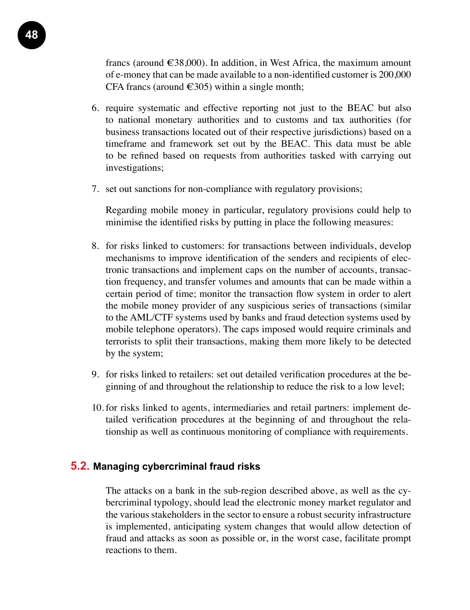francs (around  $\epsilon$ 38,000). In addition, in West Africa, the maximum amount of e-money that can be made available to a non-identified customer is 200,000 CFA francs (around  $\in$ 305) within a single month;

- 6. require systematic and effective reporting not just to the BEAC but also to national monetary authorities and to customs and tax authorities (for business transactions located out of their respective jurisdictions) based on a timeframe and framework set out by the BEAC. This data must be able to be refined based on requests from authorities tasked with carrying out investigations;
- 7. set out sanctions for non-compliance with regulatory provisions;

Regarding mobile money in particular, regulatory provisions could help to minimise the identified risks by putting in place the following measures:

- 8. for risks linked to customers: for transactions between individuals, develop mechanisms to improve identification of the senders and recipients of electronic transactions and implement caps on the number of accounts, transaction frequency, and transfer volumes and amounts that can be made within a certain period of time; monitor the transaction flow system in order to alert the mobile money provider of any suspicious series of transactions (similar to the AML/CTF systems used by banks and fraud detection systems used by mobile telephone operators). The caps imposed would require criminals and terrorists to split their transactions, making them more likely to be detected by the system;
- 9. for risks linked to retailers: set out detailed verification procedures at the beginning of and throughout the relationship to reduce the risk to a low level;
- 10. for risks linked to agents, intermediaries and retail partners: implement detailed verification procedures at the beginning of and throughout the relationship as well as continuous monitoring of compliance with requirements.

#### **5.2. Managing cybercriminal fraud risks**

The attacks on a bank in the sub-region described above, as well as the cybercriminal typology, should lead the electronic money market regulator and the various stakeholders in the sector to ensure a robust security infrastructure is implemented, anticipating system changes that would allow detection of fraud and attacks as soon as possible or, in the worst case, facilitate prompt reactions to them.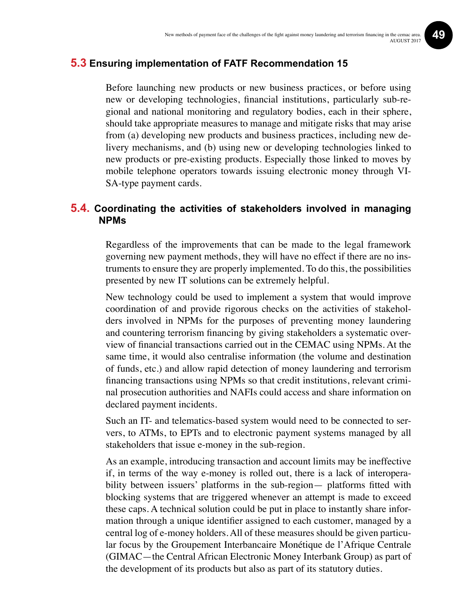#### **5.3 Ensuring implementation of FATF Recommendation 15**

Before launching new products or new business practices, or before using new or developing technologies, financial institutions, particularly sub-regional and national monitoring and regulatory bodies, each in their sphere, should take appropriate measures to manage and mitigate risks that may arise from (a) developing new products and business practices, including new delivery mechanisms, and (b) using new or developing technologies linked to new products or pre-existing products. Especially those linked to moves by mobile telephone operators towards issuing electronic money through VI-SA-type payment cards.

#### **5.4. Coordinating the activities of stakeholders involved in managing NPMs**

Regardless of the improvements that can be made to the legal framework governing new payment methods, they will have no effect if there are no instruments to ensure they are properly implemented. To do this, the possibilities presented by new IT solutions can be extremely helpful.

New technology could be used to implement a system that would improve coordination of and provide rigorous checks on the activities of stakeholders involved in NPMs for the purposes of preventing money laundering and countering terrorism financing by giving stakeholders a systematic overview of financial transactions carried out in the CEMAC using NPMs. At the same time, it would also centralise information (the volume and destination of funds, etc.) and allow rapid detection of money laundering and terrorism financing transactions using NPMs so that credit institutions, relevant criminal prosecution authorities and NAFIs could access and share information on declared payment incidents.

Such an IT- and telematics-based system would need to be connected to servers, to ATMs, to EPTs and to electronic payment systems managed by all stakeholders that issue e-money in the sub-region.

As an example, introducing transaction and account limits may be ineffective if, in terms of the way e-money is rolled out, there is a lack of interoperability between issuers' platforms in the sub-region— platforms fitted with blocking systems that are triggered whenever an attempt is made to exceed these caps. A technical solution could be put in place to instantly share information through a unique identifier assigned to each customer, managed by a central log of e-money holders. All of these measures should be given particular focus by the Groupement Interbancaire Monétique de l'Afrique Centrale (GIMAC—the Central African Electronic Money Interbank Group) as part of the development of its products but also as part of its statutory duties.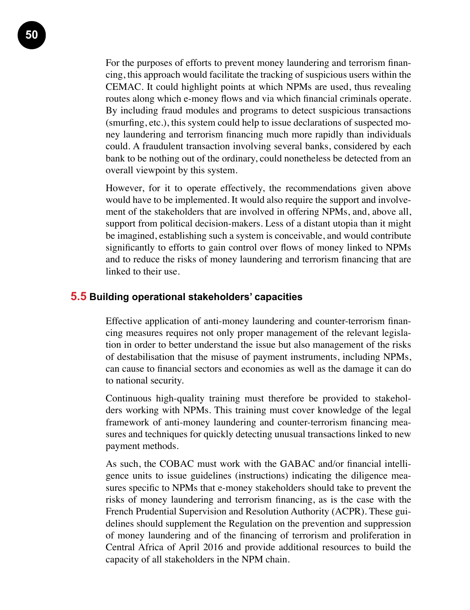**50**

For the purposes of efforts to prevent money laundering and terrorism financing, this approach would facilitate the tracking of suspicious users within the CEMAC. It could highlight points at which NPMs are used, thus revealing routes along which e-money flows and via which financial criminals operate. By including fraud modules and programs to detect suspicious transactions (smurfing, etc.), this system could help to issue declarations of suspected money laundering and terrorism financing much more rapidly than individuals could. A fraudulent transaction involving several banks, considered by each bank to be nothing out of the ordinary, could nonetheless be detected from an overall viewpoint by this system.

However, for it to operate effectively, the recommendations given above would have to be implemented. It would also require the support and involvement of the stakeholders that are involved in offering NPMs, and, above all, support from political decision-makers. Less of a distant utopia than it might be imagined, establishing such a system is conceivable, and would contribute significantly to efforts to gain control over flows of money linked to NPMs and to reduce the risks of money laundering and terrorism financing that are linked to their use.

#### **5.5 Building operational stakeholders' capacities**

Effective application of anti-money laundering and counter-terrorism financing measures requires not only proper management of the relevant legislation in order to better understand the issue but also management of the risks of destabilisation that the misuse of payment instruments, including NPMs, can cause to financial sectors and economies as well as the damage it can do to national security.

Continuous high-quality training must therefore be provided to stakeholders working with NPMs. This training must cover knowledge of the legal framework of anti-money laundering and counter-terrorism financing measures and techniques for quickly detecting unusual transactions linked to new payment methods.

As such, the COBAC must work with the GABAC and/or financial intelligence units to issue guidelines (instructions) indicating the diligence measures specific to NPMs that e-money stakeholders should take to prevent the risks of money laundering and terrorism financing, as is the case with the French Prudential Supervision and Resolution Authority (ACPR). These guidelines should supplement the Regulation on the prevention and suppression of money laundering and of the financing of terrorism and proliferation in Central Africa of April 2016 and provide additional resources to build the capacity of all stakeholders in the NPM chain.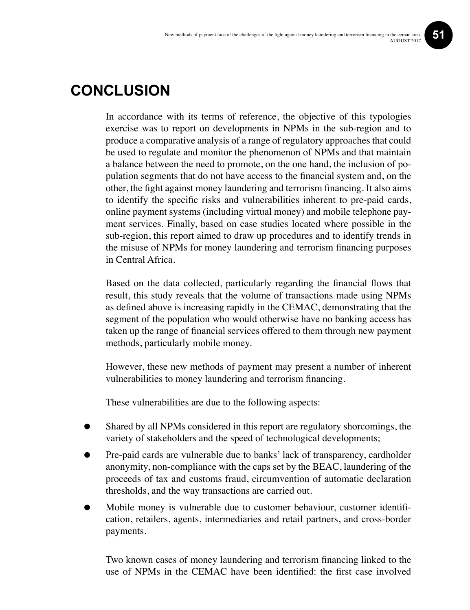### **Conclusion**

In accordance with its terms of reference, the objective of this typologies exercise was to report on developments in NPMs in the sub-region and to produce a comparative analysis of a range of regulatory approaches that could be used to regulate and monitor the phenomenon of NPMs and that maintain a balance between the need to promote, on the one hand, the inclusion of population segments that do not have access to the financial system and, on the other, the fight against money laundering and terrorism financing. It also aims to identify the specific risks and vulnerabilities inherent to pre-paid cards, online payment systems (including virtual money) and mobile telephone payment services. Finally, based on case studies located where possible in the sub-region, this report aimed to draw up procedures and to identify trends in the misuse of NPMs for money laundering and terrorism financing purposes in Central Africa.

Based on the data collected, particularly regarding the financial flows that result, this study reveals that the volume of transactions made using NPMs as defined above is increasing rapidly in the CEMAC, demonstrating that the segment of the population who would otherwise have no banking access has taken up the range of financial services offered to them through new payment methods, particularly mobile money.

However, these new methods of payment may present a number of inherent vulnerabilities to money laundering and terrorism financing.

These vulnerabilities are due to the following aspects:

- Shared by all NPMs considered in this report are regulatory shorcomings, the variety of stakeholders and the speed of technological developments;
- Pre-paid cards are vulnerable due to banks' lack of transparency, cardholder anonymity, non-compliance with the caps set by the BEAC, laundering of the proceeds of tax and customs fraud, circumvention of automatic declaration thresholds, and the way transactions are carried out.
- Mobile money is vulnerable due to customer behaviour, customer identification, retailers, agents, intermediaries and retail partners, and cross-border payments.

Two known cases of money laundering and terrorism financing linked to the use of NPMs in the CEMAC have been identified: the first case involved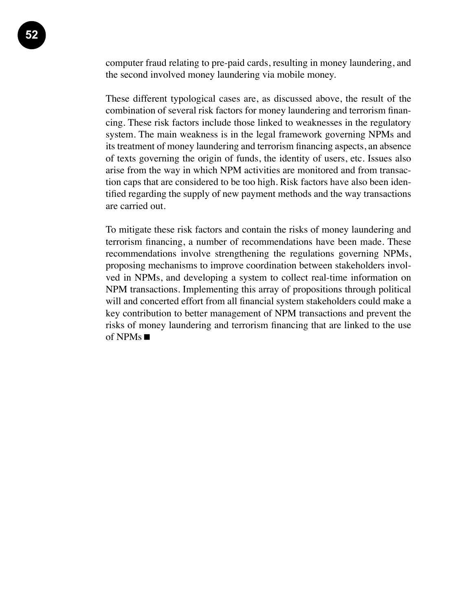computer fraud relating to pre-paid cards, resulting in money laundering, and the second involved money laundering via mobile money.

These different typological cases are, as discussed above, the result of the combination of several risk factors for money laundering and terrorism financing. These risk factors include those linked to weaknesses in the regulatory system. The main weakness is in the legal framework governing NPMs and its treatment of money laundering and terrorism financing aspects, an absence of texts governing the origin of funds, the identity of users, etc. Issues also arise from the way in which NPM activities are monitored and from transaction caps that are considered to be too high. Risk factors have also been identified regarding the supply of new payment methods and the way transactions are carried out.

To mitigate these risk factors and contain the risks of money laundering and terrorism financing, a number of recommendations have been made. These recommendations involve strengthening the regulations governing NPMs, proposing mechanisms to improve coordination between stakeholders involved in NPMs, and developing a system to collect real-time information on NPM transactions. Implementing this array of propositions through political will and concerted effort from all financial system stakeholders could make a key contribution to better management of NPM transactions and prevent the risks of money laundering and terrorism financing that are linked to the use of NPMs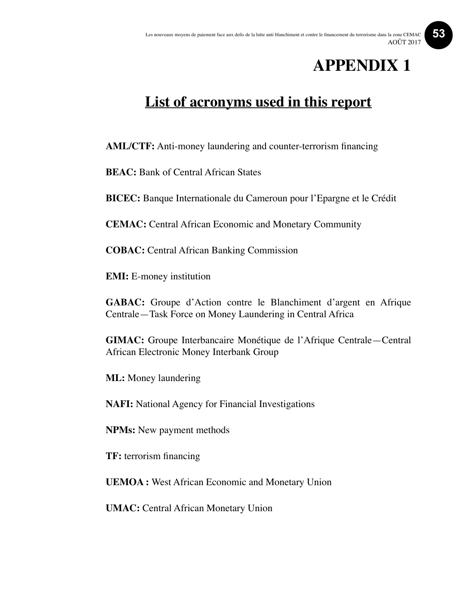### **APPENDIX 1**

### **List of acronyms used in this report**

**AML/CTF:** Anti-money laundering and counter-terrorism financing

**BEAC:** Bank of Central African States

**BICEC:** Banque Internationale du Cameroun pour l'Epargne et le Crédit

**CEMAC:** Central African Economic and Monetary Community

**COBAC:** Central African Banking Commission

**EMI:** E-money institution

**GABAC:** Groupe d'Action contre le Blanchiment d'argent en Afrique Centrale—Task Force on Money Laundering in Central Africa

**GIMAC:** Groupe Interbancaire Monétique de l'Afrique Centrale—Central African Electronic Money Interbank Group

**ML:** Money laundering

**NAFI:** National Agency for Financial Investigations

**NPMs:** New payment methods

**TF:** terrorism financing

**UEMOA :** West African Economic and Monetary Union

**UMAC:** Central African Monetary Union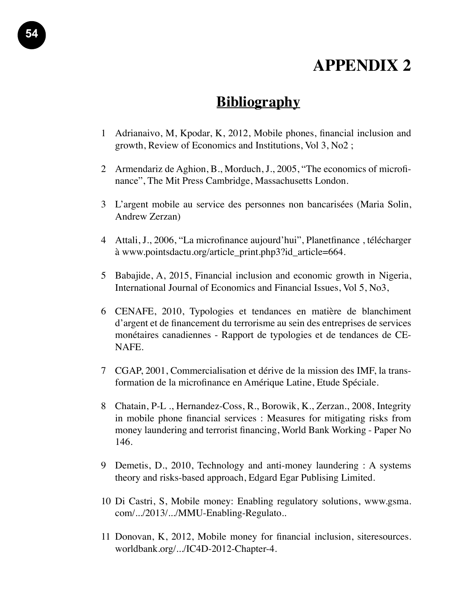### **APPENDIX 2**

### **Bibliography**

- 1 Adrianaivo, M, Kpodar, K, 2012, Mobile phones, financial inclusion and growth, Review of Economics and Institutions, Vol 3, No2 ;
- 2 Armendariz de Aghion, B., Morduch, J., 2005, "The economics of microfinance", The Mit Press Cambridge, Massachusetts London.
- 3 L'argent mobile au service des personnes non bancarisées (Maria Solin, Andrew Zerzan)
- 4 Attali, J., 2006, "La microfinance aujourd'hui", Planetfinance , télécharger à www.pointsdactu.org/article\_print.php3?id\_article=664.
- 5 Babajide, A, 2015, Financial inclusion and economic growth in Nigeria, International Journal of Economics and Financial Issues, Vol 5, No3,
- 6 CENAFE, 2010, Typologies et tendances en matière de blanchiment d'argent et de financement du terrorisme au sein des entreprises de services monétaires canadiennes - Rapport de typologies et de tendances de CE-NAFE.
- 7 CGAP, 2001, Commercialisation et dérive de la mission des IMF, la transformation de la microfinance en Amérique Latine, Etude Spéciale.
- 8 Chatain, P-L ., Hernandez-Coss, R., Borowik, K., Zerzan., 2008, Integrity in mobile phone financial services : Measures for mitigating risks from money laundering and terrorist financing, World Bank Working - Paper No 146.
- 9 Demetis, D., 2010, Technology and anti-money laundering : A systems theory and risks-based approach, Edgard Egar Publising Limited.
- 10 Di Castri, S, Mobile money: Enabling regulatory solutions, www.gsma. com/.../2013/.../MMU-Enabling-Regulato..
- 11 Donovan, K, 2012, Mobile money for financial inclusion, siteresources. worldbank.org/.../IC4D-2012-Chapter-4.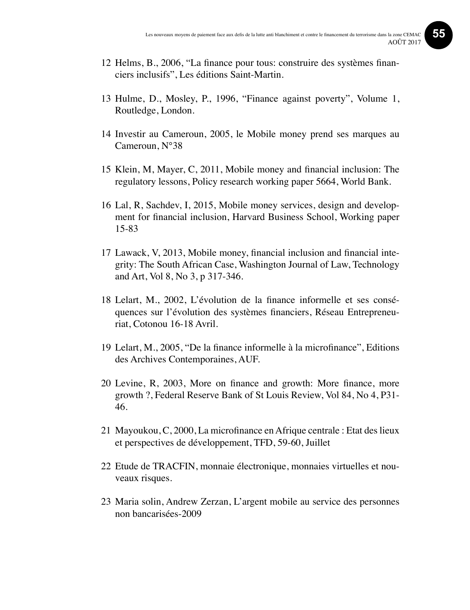**55**

- 12 Helms, B., 2006, "La finance pour tous: construire des systèmes financiers inclusifs", Les éditions Saint-Martin.
- 13 Hulme, D., Mosley, P., 1996, "Finance against poverty", Volume 1, Routledge, London.
- 14 Investir au Cameroun, 2005, le Mobile money prend ses marques au Cameroun, N°38
- 15 Klein, M, Mayer, C, 2011, Mobile money and financial inclusion: The regulatory lessons, Policy research working paper 5664, World Bank.
- 16 Lal, R, Sachdev, I, 2015, Mobile money services, design and development for financial inclusion, Harvard Business School, Working paper 15-83
- 17 Lawack, V, 2013, Mobile money, financial inclusion and financial integrity: The South African Case, Washington Journal of Law, Technology and Art, Vol 8, No 3, p 317-346.
- 18 Lelart, M., 2002, L'évolution de la finance informelle et ses conséquences sur l'évolution des systèmes financiers, Réseau Entrepreneuriat, Cotonou 16-18 Avril.
- 19 Lelart, M., 2005, "De la finance informelle à la microfinance", Editions des Archives Contemporaines, AUF.
- 20 Levine, R, 2003, More on finance and growth: More finance, more growth ?, Federal Reserve Bank of St Louis Review, Vol 84, No 4, P31- 46.
- 21 Mayoukou, C, 2000, La microfinance en Afrique centrale : Etat des lieux et perspectives de développement, TFD, 59-60, Juillet
- 22 Etude de TRACFIN, monnaie électronique, monnaies virtuelles et nouveaux risques.
- 23 Maria solin, Andrew Zerzan, L'argent mobile au service des personnes non bancarisées-2009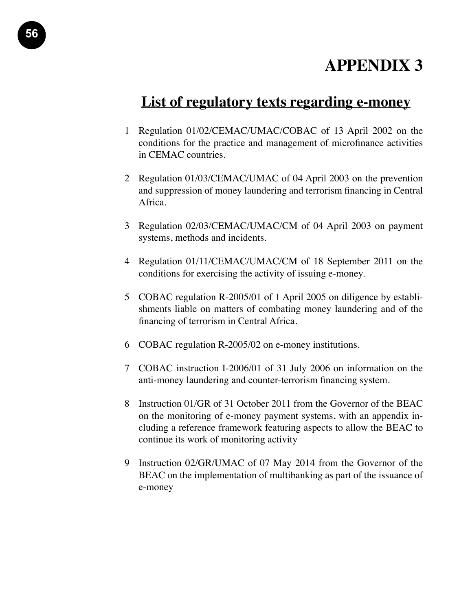### **APPENDIX 3**

### **List of regulatory texts regarding e-money**

- 1 Regulation 01/02/CEMAC/UMAC/COBAC of 13 April 2002 on the conditions for the practice and management of microfinance activities in CEMAC countries.
- 2 Regulation 01/03/CEMAC/UMAC of 04 April 2003 on the prevention and suppression of money laundering and terrorism financing in Central Africa.
- 3 Regulation 02/03/CEMAC/UMAC/CM of 04 April 2003 on payment systems, methods and incidents.
- 4 Regulation 01/11/CEMAC/UMAC/CM of 18 September 2011 on the conditions for exercising the activity of issuing e-money.
- 5 COBAC regulation R-2005/01 of 1 April 2005 on diligence by establishments liable on matters of combating money laundering and of the financing of terrorism in Central Africa.
- 6 COBAC regulation R-2005/02 on e-money institutions.
- 7 COBAC instruction I-2006/01 of 31 July 2006 on information on the anti-money laundering and counter-terrorism financing system.
- 8 Instruction 01/GR of 31 October 2011 from the Governor of the BEAC on the monitoring of e-money payment systems, with an appendix including a reference framework featuring aspects to allow the BEAC to continue its work of monitoring activity
- 9 Instruction 02/GR/UMAC of 07 May 2014 from the Governor of the BEAC on the implementation of multibanking as part of the issuance of e-money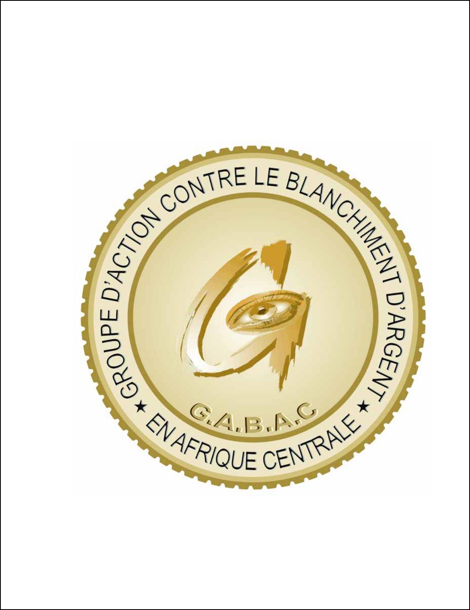